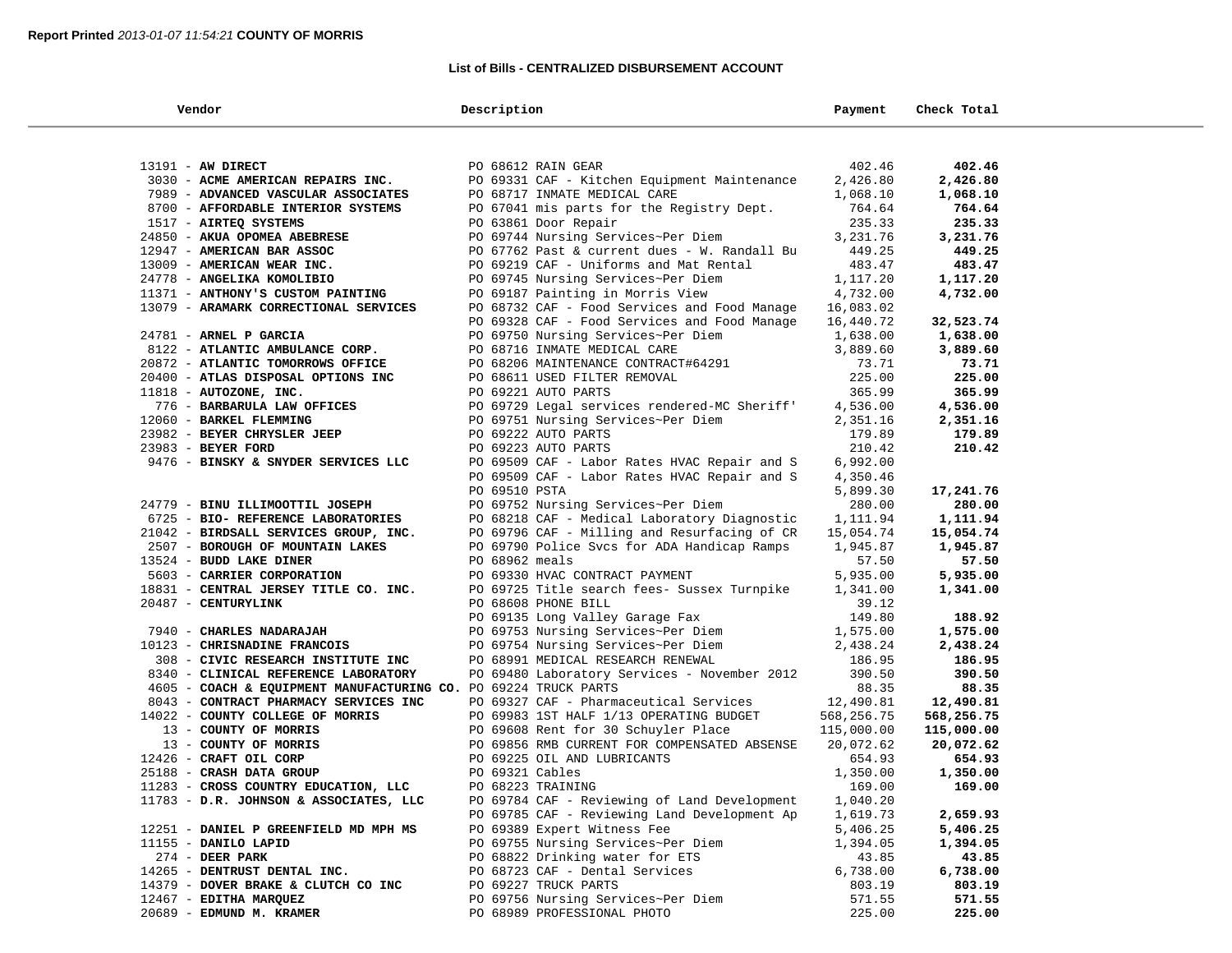#### **List of Bills - CENTRALIZED DISBURSEMENT ACCOUNT**

٠

| Vendor                                                                         | Description                                                                 | Payment              | Check Total |
|--------------------------------------------------------------------------------|-----------------------------------------------------------------------------|----------------------|-------------|
|                                                                                |                                                                             |                      |             |
| 13191 - AW DIRECT                                                              | PO 68612 RAIN GEAR                                                          | 402.46               | 402.46      |
| 3030 - ACME AMERICAN REPAIRS INC.                                              | PO 69331 CAF - Kitchen Equipment Maintenance                                | 2,426.80             | 2,426.80    |
| 7989 - ADVANCED VASCULAR ASSOCIATES                                            | PO 68717 INMATE MEDICAL CARE                                                | 1,068.10             | 1,068.10    |
| 8700 - AFFORDABLE INTERIOR SYSTEMS                                             | PO 67041 mis parts for the Registry Dept.                                   | 764.64               | 764.64      |
| 1517 - AIRTEQ SYSTEMS                                                          | PO 63861 Door Repair                                                        | 235.33               | 235.33      |
| 24850 - AKUA OPOMEA ABEBRESE                                                   | PO 69744 Nursing Services~Per Diem                                          | 3,231.76             | 3,231.76    |
| 12947 - AMERICAN BAR ASSOC                                                     | PO 67762 Past & current dues - W. Randall Bu                                | 449.25               | 449.25      |
| 13009 - AMERICAN WEAR INC.                                                     | PO 69219 CAF - Uniforms and Mat Rental                                      | 483.47               | 483.47      |
| 24778 - ANGELIKA KOMOLIBIO                                                     | PO 69745 Nursing Services~Per Diem                                          | 1,117.20             | 1,117.20    |
| 11371 - ANTHONY'S CUSTOM PAINTING                                              | PO 69187 Painting in Morris View                                            | 4,732.00             | 4,732.00    |
| 13079 - ARAMARK CORRECTIONAL SERVICES                                          | PO 68732 CAF - Food Services and Food Manage                                | 16,083.02            |             |
|                                                                                | PO 69328 CAF - Food Services and Food Manage                                | 16,440.72            | 32,523.74   |
| 24781 - ARNEL P GARCIA                                                         | PO 69750 Nursing Services~Per Diem                                          | 1,638.00             | 1,638.00    |
| 8122 - ATLANTIC AMBULANCE CORP.                                                | PO 68716 INMATE MEDICAL CARE                                                | 3,889.60             | 3,889.60    |
| 20872 - ATLANTIC TOMORROWS OFFICE                                              | PO 68206 MAINTENANCE CONTRACT#64291                                         | 73.71                | 73.71       |
| 20400 - ATLAS DISPOSAL OPTIONS INC                                             | PO 68611 USED FILTER REMOVAL                                                | 225.00               | 225.00      |
| 11818 - AUTOZONE, INC.                                                         | PO 69221 AUTO PARTS                                                         | 365.99               | 365.99      |
| 776 - BARBARULA LAW OFFICES                                                    | PO 69729 Legal services rendered-MC Sheriff'                                | 4,536.00             | 4,536.00    |
| 12060 - BARKEL FLEMMING                                                        | PO 69751 Nursing Services~Per Diem                                          | 2,351.16             | 2,351.16    |
| 23982 - BEYER CHRYSLER JEEP                                                    | PO 69222 AUTO PARTS                                                         | 179.89               | 179.89      |
| 23983 - BEYER FORD                                                             | PO 69223 AUTO PARTS                                                         | 210.42               | 210.42      |
| 9476 - BINSKY & SNYDER SERVICES LLC                                            | PO 69509 CAF - Labor Rates HVAC Repair and S                                | 6,992.00             |             |
|                                                                                | PO 69509 CAF - Labor Rates HVAC Repair and S                                | 4,350.46             |             |
|                                                                                | PO 69510 PSTA                                                               | 5,899.30             | 17,241.76   |
| 24779 - BINU ILLIMOOTTIL JOSEPH                                                | PO 69752 Nursing Services~Per Diem                                          | 280.00               | 280.00      |
| 6725 - BIO- REFERENCE LABORATORIES                                             | PO 68218 CAF - Medical Laboratory Diagnostic                                | 1,111.94             | 1,111.94    |
| 21042 - BIRDSALL SERVICES GROUP, INC.                                          | PO 69796 CAF - Milling and Resurfacing of CR                                | 15,054.74            | 15,054.74   |
| 2507 - BOROUGH OF MOUNTAIN LAKES                                               | PO 69790 Police Svcs for ADA Handicap Ramps                                 | 1,945.87             | 1,945.87    |
| 13524 - BUDD LAKE DINER                                                        | PO 68962 meals                                                              | 57.50                | 57.50       |
| 5603 - CARRIER CORPORATION                                                     | PO 69330 HVAC CONTRACT PAYMENT                                              | 5,935.00             | 5,935.00    |
| 18831 - CENTRAL JERSEY TITLE CO. INC.                                          | PO 69725 Title search fees- Sussex Turnpike                                 | 1,341.00             | 1,341.00    |
| 20487 - CENTURYLINK                                                            | PO 68608 PHONE BILL                                                         | 39.12                |             |
|                                                                                | PO 69135 Long Valley Garage Fax                                             | 149.80               | 188.92      |
| 7940 - CHARLES NADARAJAH                                                       | PO 69753 Nursing Services~Per Diem                                          | 1,575.00             | 1,575.00    |
| 10123 - CHRISNADINE FRANCOIS                                                   | PO 69754 Nursing Services~Per Diem                                          | 2,438.24             | 2,438.24    |
| 308 - CIVIC RESEARCH INSTITUTE INC                                             | PO 68991 MEDICAL RESEARCH RENEWAL                                           | 186.95               | 186.95      |
| 8340 - CLINICAL REFERENCE LABORATORY                                           | PO 69480 Laboratory Services - November 2012                                | 390.50               | 390.50      |
| 4605 - COACH & EQUIPMENT MANUFACTURING CO. PO 69224 TRUCK PARTS                |                                                                             | 88.35                | 88.35       |
| 8043 - CONTRACT PHARMACY SERVICES INC                                          | PO 69327 CAF - Pharmaceutical Services                                      | 12,490.81            | 12,490.81   |
| 14022 - COUNTY COLLEGE OF MORRIS                                               | PO 69983 1ST HALF 1/13 OPERATING BUDGET                                     | 568,256.75           | 568,256.75  |
| 13 - COUNTY OF MORRIS                                                          | PO 69608 Rent for 30 Schuyler Place                                         | 115,000.00           | 115,000.00  |
| 13 - COUNTY OF MORRIS                                                          | PO 69856 RMB CURRENT FOR COMPENSATED ABSENSE                                | 20,072.62            | 20,072.62   |
| 12426 - CRAFT OIL CORP                                                         | PO 69225 OIL AND LUBRICANTS                                                 | 654.93               | 654.93      |
| 25188 - CRASH DATA GROUP                                                       | PO 69321 Cables                                                             | 1,350.00             | 1,350.00    |
| 11283 - CROSS COUNTRY EDUCATION, LLC<br>11783 - D.R. JOHNSON & ASSOCIATES, LLC | PO 68223 TRAINING<br>PO 69784 CAF - Reviewing of Land Development           | 169.00               | 169.00      |
|                                                                                |                                                                             | 1,040.20             | 2,659.93    |
| 12251 - DANIEL P GREENFIELD MD MPH MS                                          | PO 69785 CAF - Reviewing Land Development Ap<br>PO 69389 Expert Witness Fee | 1,619.73<br>5,406.25 | 5,406.25    |
| 11155 - DANILO LAPID                                                           | PO 69755 Nursing Services~Per Diem                                          | 1,394.05             | 1,394.05    |
| $274$ - DEER PARK                                                              | PO 68822 Drinking water for ETS                                             | 43.85                | 43.85       |
| 14265 - DENTRUST DENTAL INC.                                                   | PO 68723 CAF - Dental Services                                              | 6,738.00             | 6,738.00    |
| 14379 - DOVER BRAKE & CLUTCH CO INC                                            | PO 69227 TRUCK PARTS                                                        | 803.19               | 803.19      |
| 12467 - EDITHA MARQUEZ                                                         | PO 69756 Nursing Services~Per Diem                                          | 571.55               | 571.55      |
| 20689 - EDMUND M. KRAMER                                                       | PO 68989 PROFESSIONAL PHOTO                                                 | 225.00               | 225.00      |
|                                                                                |                                                                             |                      |             |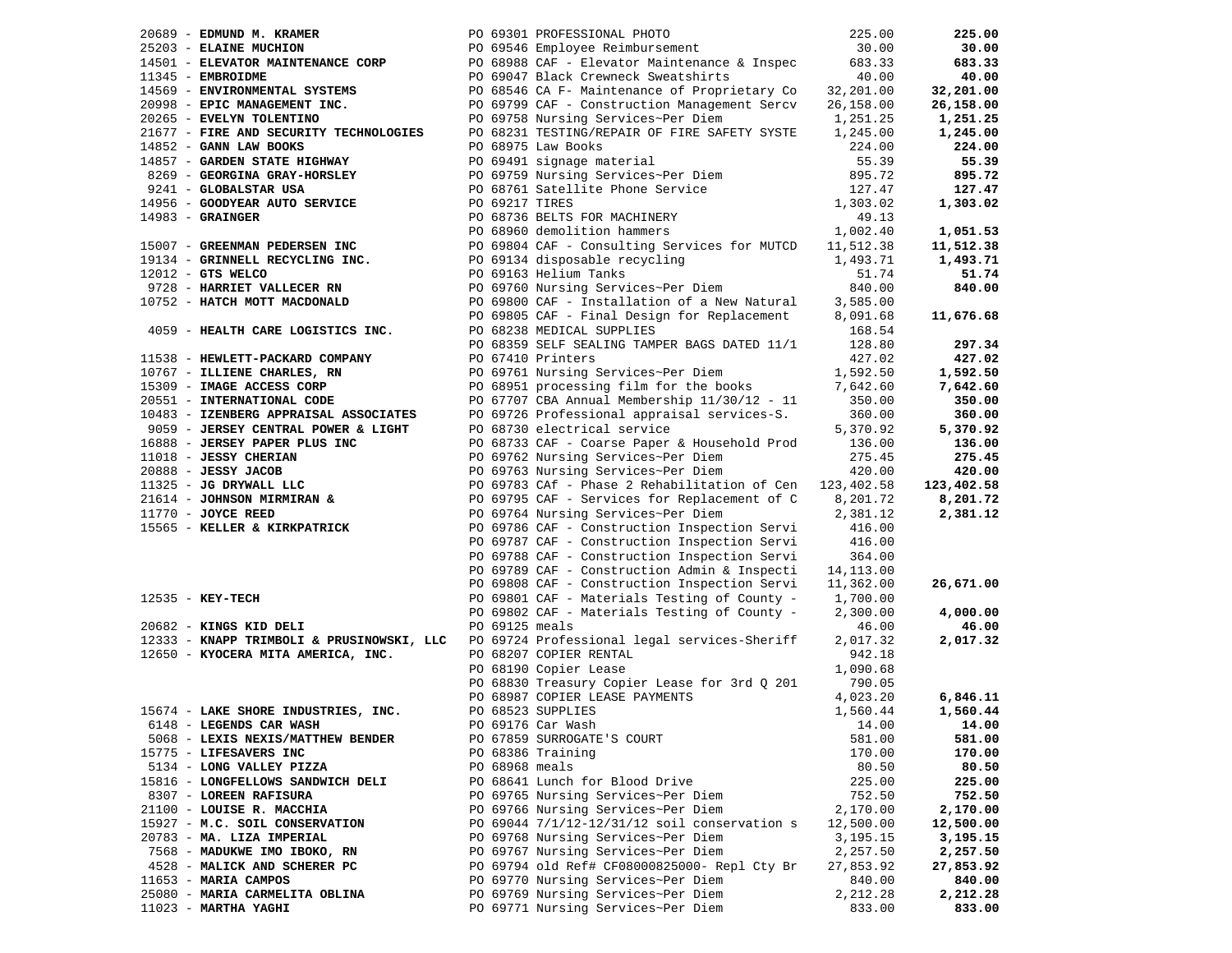| 20689 - EDMUND M. KRAMER                                  |                | PO 69301 PROFESSIONAL PHOTO                                                                 | 225.00     | 225.00     |
|-----------------------------------------------------------|----------------|---------------------------------------------------------------------------------------------|------------|------------|
| 25203 - ELAINE MUCHION                                    |                | PO 69546 Employee Reimbursement                                                             | 30.00      | 30.00      |
|                                                           |                | 14501 - ELEVATOR MAINTENANCE CORP 200 PO 68988 CAF - Elevator Maintenance & Inspec          | 683.33     | 683.33     |
| 11345 - EMBROIDME                                         |                | PO 69047 Black Crewneck Sweatshirts                                                         | 40.00      | 40.00      |
| 14569 - ENVIRONMENTAL SYSTEMS                             |                | PO 68546 CA F- Maintenance of Proprietary Co 32,201.00                                      |            | 32,201.00  |
| 20998 - EPIC MANAGEMENT INC.                              |                | PO 69799 CAF - Construction Management Sercv                                                | 26,158.00  | 26,158.00  |
| 20265 - EVELYN TOLENTINO                                  |                | PO 69758 Nursing Services~Per Diem                                                          | 1,251.25   | 1,251.25   |
| 21677 - FIRE AND SECURITY TECHNOLOGIES                    |                | PO 68231 TESTING/REPAIR OF FIRE SAFETY SYSTE                                                | 1,245.00   | 1,245.00   |
| 14852 - GANN LAW BOOKS                                    |                | PO 68975 Law Books                                                                          | 224.00     | 224.00     |
| 14857 - GARDEN STATE HIGHWAY                              |                | PO 69491 signage material                                                                   | 55.39      | 55.39      |
| 8269 - GEORGINA GRAY-HORSLEY                              |                | PO 69759 Nursing Services~Per Diem                                                          | 895.72     | 895.72     |
| 9241 - GLOBALSTAR USA                                     |                | PO 68761 Satellite Phone Service                                                            | 127.47     | 127.47     |
| 14956 - GOODYEAR AUTO SERVICE                             | PO 69217 TIRES |                                                                                             | 1,303.02   | 1,303.02   |
| $14983$ - GRAINGER                                        |                | PO 68736 BELTS FOR MACHINERY                                                                | 49.13      |            |
|                                                           |                | PO 68960 demolition hammers                                                                 | 1,002.40   | 1,051.53   |
| 15007 - GREENMAN PEDERSEN INC                             |                | PO 69804 CAF - Consulting Services for MUTCD                                                | 11,512.38  | 11,512.38  |
| 19134 - GRINNELL RECYCLING INC.                           |                | PO 69134 disposable recycling                                                               | 1,493.71   | 1,493.71   |
| 12012 - GTS WELCO                                         |                | PO 69163 Helium Tanks                                                                       | 51.74      | 51.74      |
| 9728 - HARRIET VALLECER RN                                |                | PO 69760 Nursing Services~Per Diem                                                          | 840.00     | 840.00     |
| 10752 - HATCH MOTT MACDONALD                              |                |                                                                                             | 3,585.00   |            |
|                                                           |                | PO 69800 CAF - Installation of a New Natural<br>PO 69805 CAF - Final Design for Replacement | 8,091.68   | 11,676.68  |
| 4059 - HEALTH CARE LOGISTICS INC.                         |                | PO 68238 MEDICAL SUPPLIES                                                                   | 168.54     |            |
|                                                           |                | PO 68359 SELF SEALING TAMPER BAGS DATED 11/1                                                | 128.80     | 297.34     |
| 11538 - HEWLETT-PACKARD COMPANY                           |                | PO 67410 Printers                                                                           | 427.02     | 427.02     |
| 10767 - ILLIENE CHARLES, RN                               |                | PO 69761 Nursing Services~Per Diem                                                          | 1,592.50   | 1,592.50   |
| 15309 - IMAGE ACCESS CORP                                 |                | PO 68951 processing film for the books                                                      | 7,642.60   | 7,642.60   |
| 20551 - INTERNATIONAL CODE                                |                | PO 67707 CBA Annual Membership 11/30/12 - 11                                                | 350.00     | 350.00     |
| 10483 - IZENBERG APPRAISAL ASSOCIATES                     |                | PO 69726 Professional appraisal services-S.                                                 | 360.00     | 360.00     |
| 9059 - JERSEY CENTRAL POWER & LIGHT                       |                | PO 68730 electrical service                                                                 | 5,370.92   | 5,370.92   |
| 16888 - JERSEY PAPER PLUS INC                             |                | PO 68733 CAF - Coarse Paper & Household Prod                                                | 136.00     | 136.00     |
| 11018 - JESSY CHERIAN                                     |                | PO 69762 Nursing Services~Per Diem                                                          | 275.45     | 275.45     |
| $20888 - JESSY JACOB$                                     |                | PO 69763 Nursing Services~Per Diem                                                          | 420.00     | 420.00     |
| 11325 - JG DRYWALL LLC<br>21614 - JOHNSON MIRMIRAN &      |                | PO 69783 CAf - Phase 2 Rehabilitation of Cen                                                | 123,402.58 | 123,402.58 |
|                                                           |                | PO 69795 CAF - Services for Replacement of C                                                | 8,201.72   | 8,201.72   |
|                                                           |                | PO 69764 Nursing Services~Per Diem                                                          | 2,381.12   | 2,381.12   |
| 11770 - <b>JOYCE REED</b><br>15565 - KELLER & KIRKPATRICK |                | PO 69786 CAF - Construction Inspection Servi                                                | 416.00     |            |
|                                                           |                | PO 69787 CAF - Construction Inspection Servi                                                | 416.00     |            |
|                                                           |                | PO 69788 CAF - Construction Inspection Servi                                                | 364.00     |            |
|                                                           |                | PO 69789 CAF - Construction Admin & Inspecti                                                | 14,113.00  |            |
|                                                           |                | PO 69808 CAF - Construction Inspection Servi                                                | 11,362.00  | 26,671.00  |
| $12535 - KEY-TECH$                                        |                | PO 69801 CAF - Materials Testing of County -                                                | 1,700.00   |            |
|                                                           |                | PO 69802 CAF - Materials Testing of County -                                                | 2,300.00   | 4,000.00   |
| 20682 - KINGS KID DELI                                    | PO 69125 meals |                                                                                             | 46.00      | 46.00      |
| 12333 - KNAPP TRIMBOLI & PRUSINOWSKI, LLC                 |                | PO 69724 Professional legal services-Sheriff                                                | 2,017.32   | 2,017.32   |
| 12650 - KYOCERA MITA AMERICA, INC.                        |                | PO 68207 COPIER RENTAL                                                                      | 942.18     |            |
|                                                           |                | PO 68190 Copier Lease                                                                       | 1,090.68   |            |
|                                                           |                | PO 68830 Treasury Copier Lease for 3rd Q 201                                                | 790.05     |            |
|                                                           |                | PO 68987 COPIER LEASE PAYMENTS                                                              | 4,023.20   | 6,846.11   |
| 15674 - LAKE SHORE INDUSTRIES, INC.                       |                | PO 68523 SUPPLIES                                                                           | 1,560.44   | 1,560.44   |
| 6148 - LEGENDS CAR WASH                                   |                | PO 69176 Car Wash                                                                           | 14.00      | 14.00      |
| 5068 - LEXIS NEXIS/MATTHEW BENDER                         |                | PO 67859 SURROGATE'S COURT                                                                  | 581.00     | 581.00     |
| 15775 - LIFESAVERS INC                                    |                | PO 68386 Training                                                                           | 170.00     | 170.00     |
| 5134 - LONG VALLEY PIZZA                                  | PO 68968 meals |                                                                                             | 80.50      | 80.50      |
| 15816 - LONGFELLOWS SANDWICH DELI                         |                | PO 68641 Lunch for Blood Drive                                                              | 225.00     | 225.00     |
| 8307 - LOREEN RAFISURA                                    |                | PO 69765 Nursing Services~Per Diem                                                          | 752.50     | 752.50     |
| 21100 - LOUISE R. MACCHIA                                 |                | PO 69766 Nursing Services~Per Diem                                                          | 2,170.00   | 2,170.00   |
| 15927 - M.C. SOIL CONSERVATION                            |                | PO 69044 7/1/12-12/31/12 soil conservation s                                                | 12,500.00  | 12,500.00  |
| 20783 - MA. LIZA IMPERIAL                                 |                | PO 69768 Nursing Services~Per Diem                                                          | 3,195.15   | 3,195.15   |
| 7568 - MADUKWE IMO IBOKO, RN                              |                | PO 69767 Nursing Services~Per Diem                                                          | 2,257.50   | 2,257.50   |
| 4528 - MALICK AND SCHERER PC                              |                | PO 69794 old Ref# CF08000825000- Repl Cty Br                                                | 27,853.92  | 27,853.92  |
| 11653 - MARIA CAMPOS                                      |                | PO 69770 Nursing Services~Per Diem                                                          | 840.00     | 840.00     |
| 25080 - MARIA CARMELITA OBLINA                            |                | PO 69769 Nursing Services~Per Diem                                                          | 2,212.28   | 2,212.28   |
|                                                           |                | PO 69771 Nursing Services~Per Diem                                                          | 833.00     |            |
| $11023$ - MARTHA YAGHI                                    |                |                                                                                             |            | 833.00     |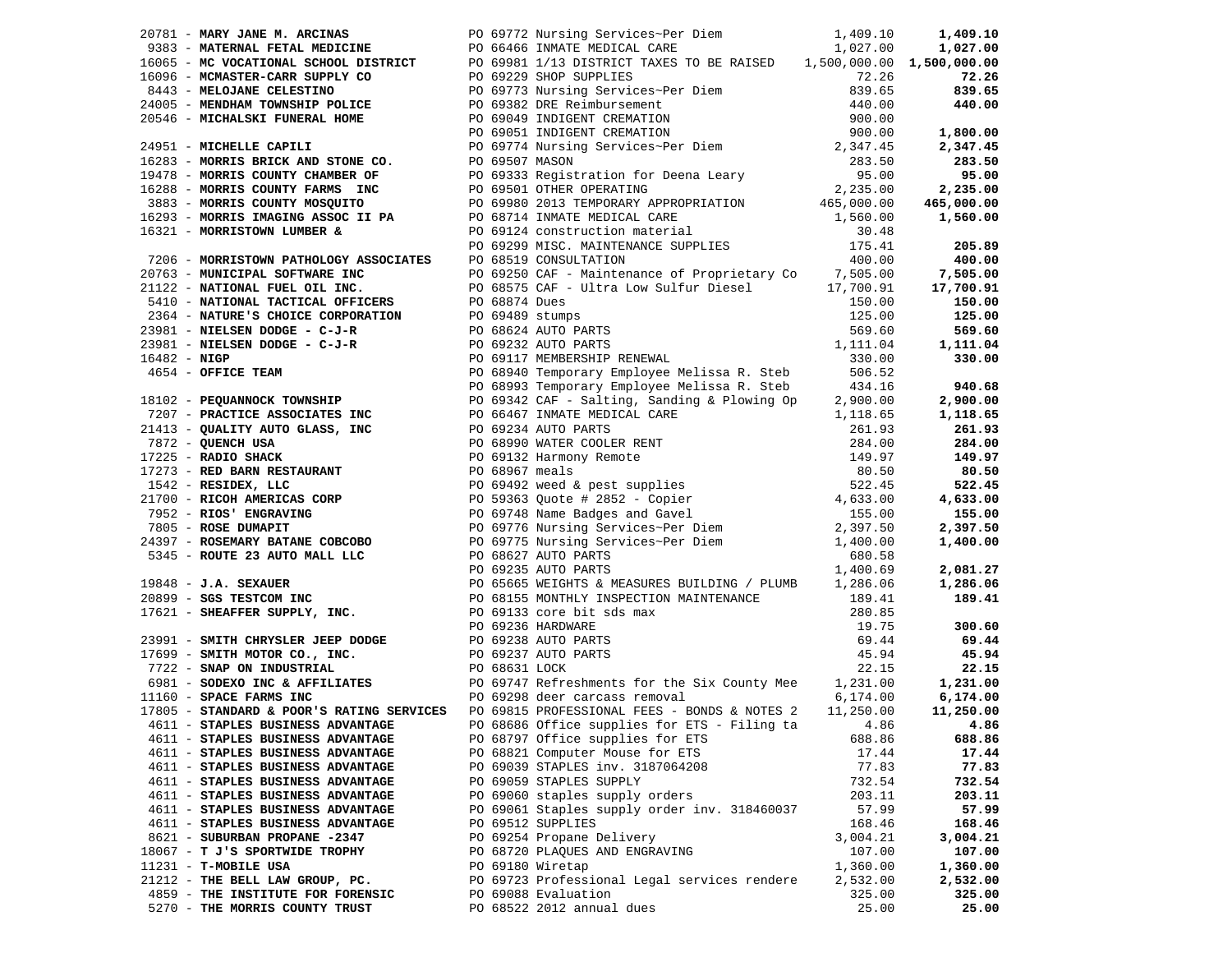|                                                                    | 27974 - MANY THUR A ARCHITECT 2008 - 200 07722 May 2007210 200 078 - 200 078 - 200 078 - 200 078 - 200 078 - 200 078 - 200 078 - 200 078 - 200 078 - 200 078 - 200 078 - 200 078 - 200 078 - 200 078 - 200 078 - 200 078 - 2 |                 |                |
|--------------------------------------------------------------------|------------------------------------------------------------------------------------------------------------------------------------------------------------------------------------------------------------------------------|-----------------|----------------|
|                                                                    |                                                                                                                                                                                                                              |                 |                |
|                                                                    |                                                                                                                                                                                                                              |                 |                |
|                                                                    |                                                                                                                                                                                                                              |                 |                |
|                                                                    | 4611 - STAPLES BUSINESS ADVANTAGE PO 68686 Office supplies for ETS - Filing ta 4.86 4.86                                                                                                                                     |                 |                |
| 4611 - STAPLES BUSINESS ADVANTAGE                                  |                                                                                                                                                                                                                              |                 |                |
|                                                                    | PO 68797 Office supplies for ETS                                                                                                                                                                                             | 688.86          | 688.86         |
| 4611 - STAPLES BUSINESS ADVANTAGE                                  | PO 68821 Computer Mouse for ETS                                                                                                                                                                                              | 17.44           | 17.44<br>77.83 |
| 4611 - STAPLES BUSINESS ADVANTAGE                                  | PO 69039 STAPLES inv. 3187064208                                                                                                                                                                                             | 77.83<br>732.54 | 732.54         |
| 4611 - STAPLES BUSINESS ADVANTAGE                                  | PO 69059 STAPLES SUPPLY                                                                                                                                                                                                      |                 |                |
| 4611 - STAPLES BUSINESS ADVANTAGE                                  | PO 69060 staples supply orders                                                                                                                                                                                               | 203.11          | 203.11         |
| 4611 - STAPLES BUSINESS ADVANTAGE                                  | PO 69061 Staples supply order inv. 318460037                                                                                                                                                                                 | 57.99<br>168.46 | 57.99          |
| 4611 - STAPLES BUSINESS ADVANTAGE<br>8621 - SUBURBAN PROPANE -2347 | PO 69512 SUPPLIES                                                                                                                                                                                                            |                 | 168.46         |
|                                                                    | PO 69254 Propane Delivery                                                                                                                                                                                                    | 3,004.21        | 3,004.21       |
| 18067 - T J'S SPORTWIDE TROPHY                                     | PO 68720 PLAQUES AND ENGRAVING                                                                                                                                                                                               | 107.00          | 107.00         |
| 11231 - T-MOBILE USA                                               | PO 69180 Wiretap                                                                                                                                                                                                             | 1,360.00        | 1,360.00       |
| 21212 - THE BELL LAW GROUP, PC.                                    | PO 69723 Professional Legal services rendere                                                                                                                                                                                 | 2,532.00        | 2,532.00       |
| 4859 - THE INSTITUTE FOR FORENSIC                                  | PO 69088 Evaluation                                                                                                                                                                                                          | 325.00          | 325.00         |
| 5270 - THE MORRIS COUNTY TRUST                                     | PO 68522 2012 annual dues                                                                                                                                                                                                    | 25.00           | 25.00          |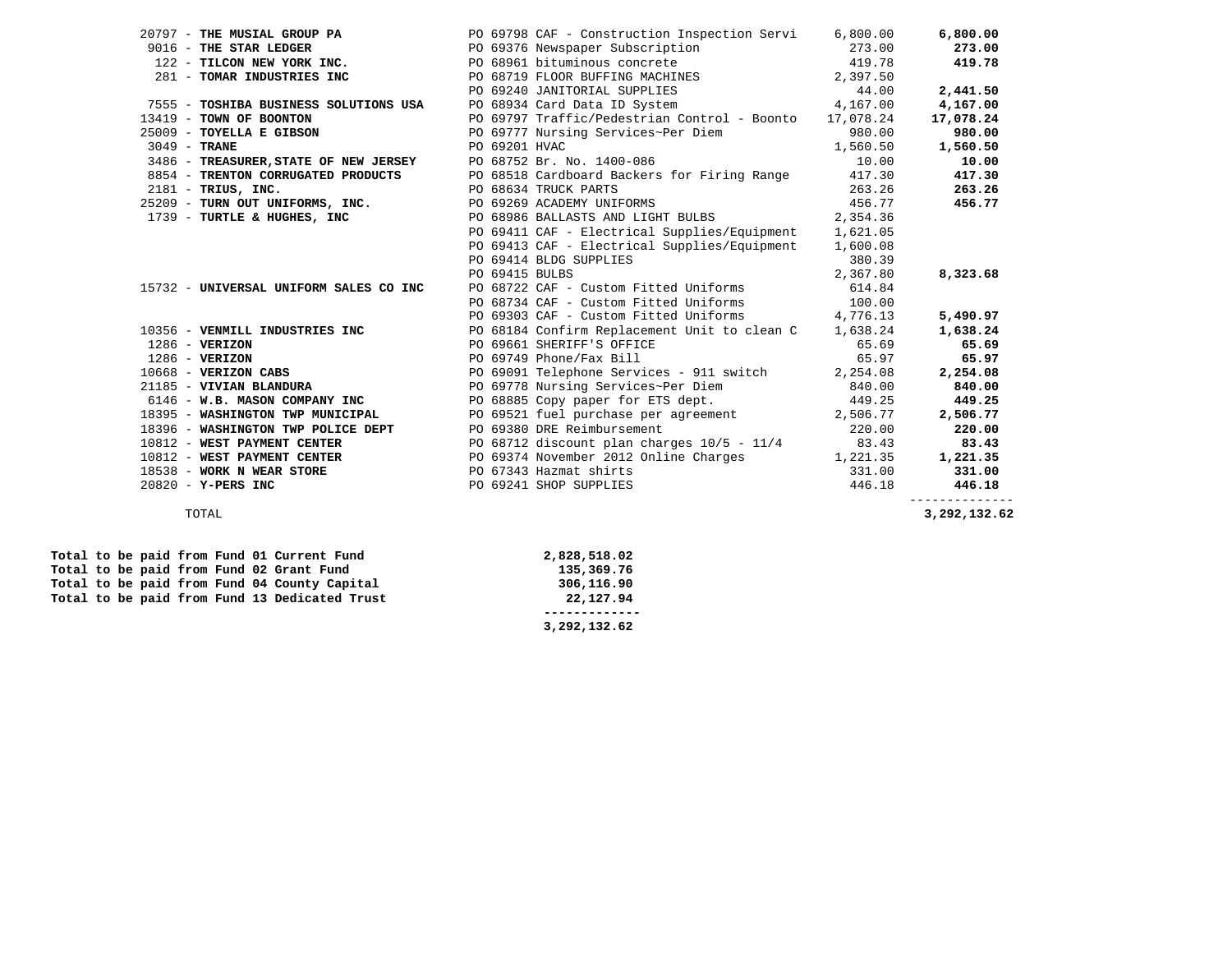| 20797 - THE MUSIAL GROUP PA PO 69798 CAF - Construction Inspection Servi 6,800.00                                                                                                                                                                                               |                        |                                                                                                                                                       |          | 6,800.00  |
|---------------------------------------------------------------------------------------------------------------------------------------------------------------------------------------------------------------------------------------------------------------------------------|------------------------|-------------------------------------------------------------------------------------------------------------------------------------------------------|----------|-----------|
|                                                                                                                                                                                                                                                                                 |                        |                                                                                                                                                       |          | 273.00    |
|                                                                                                                                                                                                                                                                                 |                        |                                                                                                                                                       |          | 419.78    |
| 4,167.00<br>122 – <b>TILCON NEW YORK INC.</b><br>273.00<br>122 – <b>TILCON NEW YORK INC.</b><br>273.00<br>273.00<br>273.00<br>273.00<br>273.00<br>273.00<br>273.00<br>273.00<br>273.00<br>273.00<br>273.00<br>273.00<br>273.00<br>273.00<br>273.00<br>273.00<br>273.00<br>273.0 |                        |                                                                                                                                                       |          |           |
|                                                                                                                                                                                                                                                                                 |                        |                                                                                                                                                       |          | 2,441.50  |
|                                                                                                                                                                                                                                                                                 |                        |                                                                                                                                                       |          | 4,167.00  |
| 13419 - TOWN OF BOONTON 69797 Traffic/Pedestrian Control - Boonto 17,078.24                                                                                                                                                                                                     |                        |                                                                                                                                                       |          | 17,078.24 |
| 25009 - TOYELLA E GIBSON DO 69777 Nursing Services-Per Diem (1,560.00)<br>3049 - TRANE 1,560.50 DO 69201 HVAC 1,560.50<br>3486 - TREASURER, STATE OF NEW JERSEY PO 68752 Br. No. 1400-086 10.00<br>8854 - TRENTON CORRUGATED PRODUCTS P                                         |                        |                                                                                                                                                       |          | 980.00    |
|                                                                                                                                                                                                                                                                                 |                        |                                                                                                                                                       |          | 1,560.50  |
|                                                                                                                                                                                                                                                                                 |                        |                                                                                                                                                       |          | 10.00     |
|                                                                                                                                                                                                                                                                                 |                        |                                                                                                                                                       |          | 417.30    |
| 2181 - TRIUS, INC.<br>25209 - TURN OUT UNIFORMS, INC.<br>25209 - TURN OUT UNIFORMS, INC.<br>25209 - TURN OUT UNIFORMS, INC.                                                                                                                                                     |                        |                                                                                                                                                       |          | 263.26    |
|                                                                                                                                                                                                                                                                                 |                        |                                                                                                                                                       |          | 456.77    |
| 1739 - TURTLE & HUGHES, INC<br>PO 68986 BALLASTS AND LIGHT BULBS<br>2,354.36                                                                                                                                                                                                    |                        |                                                                                                                                                       |          |           |
|                                                                                                                                                                                                                                                                                 |                        | PO 69411 CAF - Electrical Supplies/Equipment 1,621.05                                                                                                 |          |           |
|                                                                                                                                                                                                                                                                                 |                        | PO 69413 CAF - Electrical Supplies/Equipment 1,600.08                                                                                                 |          |           |
|                                                                                                                                                                                                                                                                                 | PO 69414 BLDG SUPPLIES | 85 ـ 380.39<br>2.367.80 ـ 2.367.80                                                                                                                    |          |           |
|                                                                                                                                                                                                                                                                                 | PO 69415 BULBS         |                                                                                                                                                       | 2,367.80 | 8,323.68  |
| 15732 - UNIVERSAL UNIFORM SALES CO INC                                                                                                                                                                                                                                          |                        | PO 69415 BULBS<br>PO 68722 CAF - Custom Fitted Uniforms<br>PO 68734 CAF - Custom Fitted Uniforms<br>PO 69303 CAF - Custom Fitted Uniforms<br>4,776.13 |          |           |
|                                                                                                                                                                                                                                                                                 |                        |                                                                                                                                                       |          |           |
|                                                                                                                                                                                                                                                                                 |                        |                                                                                                                                                       |          | 5,490.97  |
| 10356 - VENMILL INDUSTRIES INC 68184 Confirm Replacement Unit to clean C 1,638.24                                                                                                                                                                                               |                        |                                                                                                                                                       |          | 1,638.24  |
|                                                                                                                                                                                                                                                                                 |                        |                                                                                                                                                       |          |           |
|                                                                                                                                                                                                                                                                                 |                        |                                                                                                                                                       |          |           |
|                                                                                                                                                                                                                                                                                 |                        |                                                                                                                                                       |          |           |
|                                                                                                                                                                                                                                                                                 |                        | PO 69778 Nursing Services~Per Diem 840.00                                                                                                             |          |           |
| 6146 - W.B. MASON COMPANY INC PO 68885 Copy paper for ETS dept. 449.25                                                                                                                                                                                                          |                        |                                                                                                                                                       |          | 449.25    |
| 18395 - WASHINGTON TWP MUNICIPAL DE PO 69521 fuel purchase per agreement 2,506.77 2<br>18396 - WASHINGTON TWP POLICE DEPT PO 69380 DRE Reimbursement 220.00                                                                                                                     |                        |                                                                                                                                                       |          | 2,506.77  |
|                                                                                                                                                                                                                                                                                 |                        |                                                                                                                                                       |          | 220.00    |
|                                                                                                                                                                                                                                                                                 |                        |                                                                                                                                                       |          | 83.43     |
| 10812 - WEST PAYMENT CENTER<br>10812 - WEST PAYMENT CENTER 10812 - WEST PAYMENT CENTER<br>PO 69374 November 2012 Online Charges 1,221.35                                                                                                                                        |                        |                                                                                                                                                       |          | 1,221.35  |
| 18538 - WORK N WEAR STORE PO 67343 Hazmat shirts                                                                                                                                                                                                                                |                        | $331.00$<br>$446.18$                                                                                                                                  |          | 331.00    |
| 20820 - Y-PERS INC                                                                                                                                                                                                                                                              | PO 69241 SHOP SUPPLIES |                                                                                                                                                       |          | 446.18    |
|                                                                                                                                                                                                                                                                                 |                        |                                                                                                                                                       |          |           |

 **------------- 3,292,132.62** 

Total to be paid from Fund 13 Dedicated Trust

Total to be paid from Fund 01 Current Fund 2,828,518.02<br>
Total to be paid from Fund 02 Grant Fund 135,369.76 Total to be paid from Fund 02 Grant Fund 135,369.76 **135,369.76 Total to be paid from Fund 04 County Capital** 2006,116.90 Total to be paid from Fund 04 County Capital 306,116.90<br> **Total to be paid from Fund 13 Dedicated Trust** 22,127.94

3,292,132.62 TOTAL **3,292,132.62**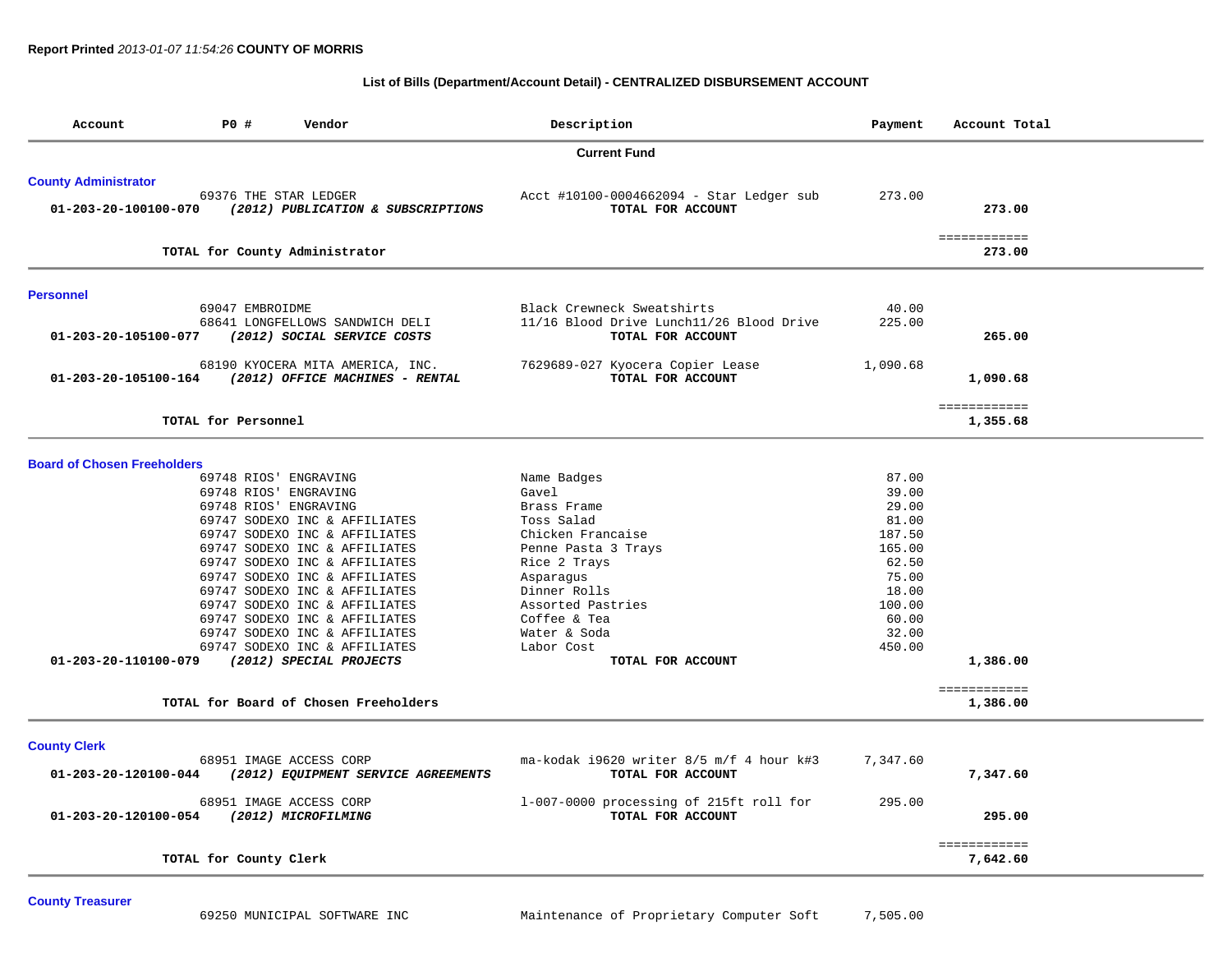### **List of Bills (Department/Account Detail) - CENTRALIZED DISBURSEMENT ACCOUNT**

| Account                            | P0 #<br>Vendor                                                      | Description                                                   | Payment         | Account Total            |
|------------------------------------|---------------------------------------------------------------------|---------------------------------------------------------------|-----------------|--------------------------|
|                                    |                                                                     | <b>Current Fund</b>                                           |                 |                          |
| <b>County Administrator</b>        |                                                                     |                                                               |                 |                          |
| 01-203-20-100100-070               | 69376 THE STAR LEDGER<br>(2012) PUBLICATION & SUBSCRIPTIONS         | Acct #10100-0004662094 - Star Ledger sub<br>TOTAL FOR ACCOUNT | 273.00          | 273.00                   |
|                                    | TOTAL for County Administrator                                      |                                                               |                 | ============<br>273.00   |
| <b>Personnel</b>                   |                                                                     |                                                               |                 |                          |
|                                    | 69047 EMBROIDME                                                     | Black Crewneck Sweatshirts                                    | 40.00           |                          |
| 01-203-20-105100-077               | 68641 LONGFELLOWS SANDWICH DELI<br>(2012) SOCIAL SERVICE COSTS      | 11/16 Blood Drive Lunch11/26 Blood Drive<br>TOTAL FOR ACCOUNT | 225.00          | 265.00                   |
| 01-203-20-105100-164               | 68190 KYOCERA MITA AMERICA, INC.<br>(2012) OFFICE MACHINES - RENTAL | 7629689-027 Kyocera Copier Lease<br>TOTAL FOR ACCOUNT         | 1,090.68        | 1,090.68                 |
|                                    | TOTAL for Personnel                                                 |                                                               |                 | ============<br>1,355.68 |
| <b>Board of Chosen Freeholders</b> |                                                                     |                                                               |                 |                          |
|                                    | 69748 RIOS' ENGRAVING                                               | Name Badges                                                   | 87.00           |                          |
|                                    | 69748 RIOS' ENGRAVING                                               | Gavel                                                         | 39.00           |                          |
|                                    | 69748 RIOS' ENGRAVING                                               | Brass Frame                                                   | 29.00           |                          |
|                                    | 69747 SODEXO INC & AFFILIATES                                       | Toss Salad                                                    | 81.00           |                          |
|                                    | 69747 SODEXO INC & AFFILIATES                                       | Chicken Francaise                                             | 187.50          |                          |
|                                    | 69747 SODEXO INC & AFFILIATES                                       | Penne Pasta 3 Trays                                           | 165.00          |                          |
|                                    | 69747 SODEXO INC & AFFILIATES                                       | Rice 2 Trays                                                  | 62.50           |                          |
|                                    | 69747 SODEXO INC & AFFILIATES                                       | Asparagus                                                     | 75.00           |                          |
|                                    | 69747 SODEXO INC & AFFILIATES                                       | Dinner Rolls                                                  | 18.00           |                          |
|                                    | 69747 SODEXO INC & AFFILIATES                                       | Assorted Pastries                                             | 100.00          |                          |
|                                    | 69747 SODEXO INC & AFFILIATES                                       | Coffee & Tea                                                  | 60.00           |                          |
|                                    | 69747 SODEXO INC & AFFILIATES<br>69747 SODEXO INC & AFFILIATES      | Water & Soda<br>Labor Cost                                    | 32.00<br>450.00 |                          |
| 01-203-20-110100-079               | (2012) SPECIAL PROJECTS                                             | TOTAL FOR ACCOUNT                                             |                 | 1,386.00                 |
|                                    |                                                                     |                                                               |                 | ============             |
|                                    | TOTAL for Board of Chosen Freeholders                               |                                                               |                 | 1,386.00                 |
| <b>County Clerk</b>                |                                                                     |                                                               |                 |                          |
| 01-203-20-120100-044               | 68951 IMAGE ACCESS CORP<br>(2012) EQUIPMENT SERVICE AGREEMENTS      | ma-kodak i9620 writer 8/5 m/f 4 hour k#3<br>TOTAL FOR ACCOUNT | 7,347.60        | 7,347.60                 |
| 01-203-20-120100-054               | 68951 IMAGE ACCESS CORP<br>(2012) MICROFILMING                      | 1-007-0000 processing of 215ft roll for<br>TOTAL FOR ACCOUNT  | 295.00          | 295.00                   |
|                                    | TOTAL for County Clerk                                              |                                                               |                 | ============<br>7,642.60 |

**County Treasurer**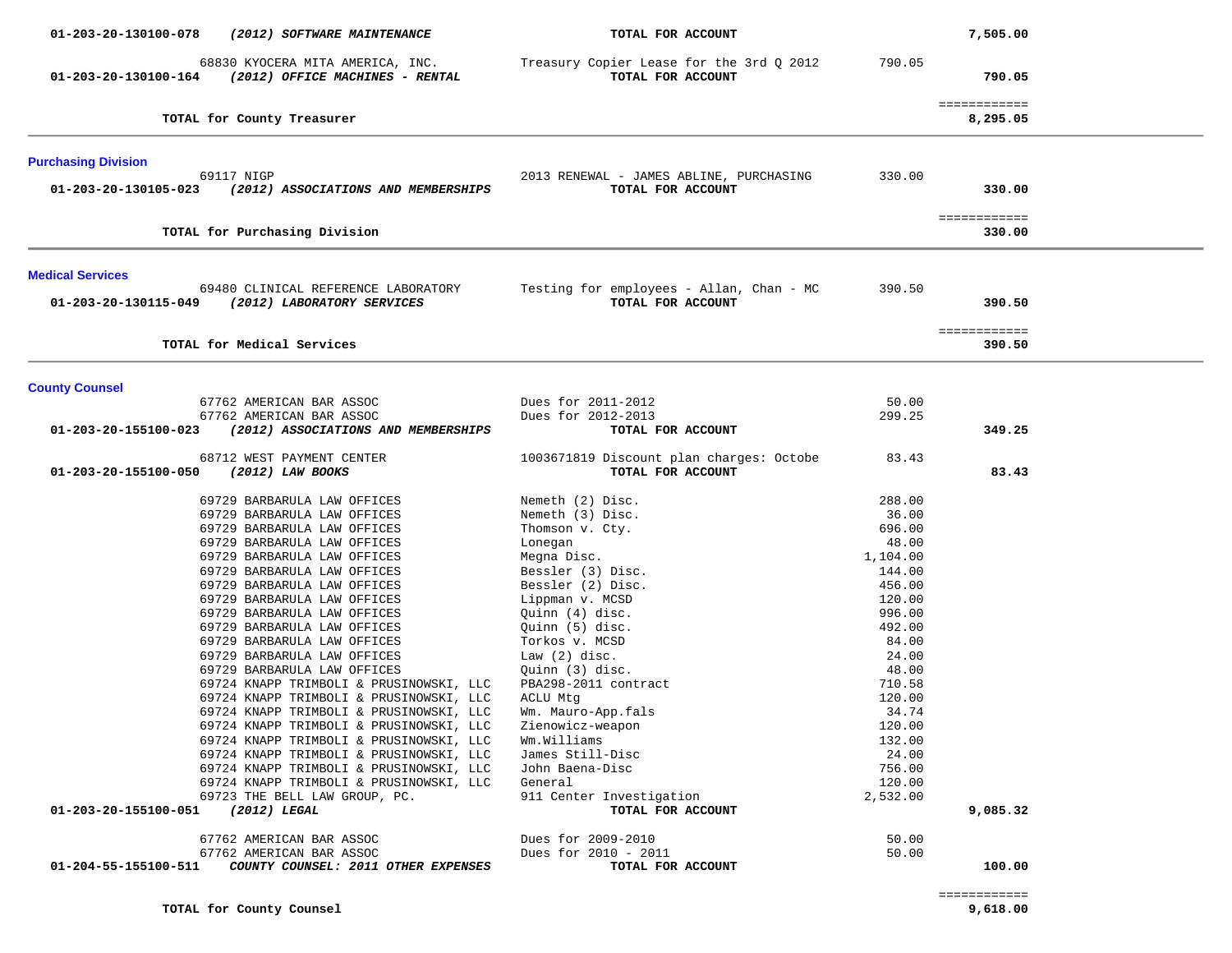| 01-203-20-130100-078<br>(2012) SOFTWARE MAINTENANCE                                         | TOTAL FOR ACCOUNT                                             |          | 7,505.00                 |
|---------------------------------------------------------------------------------------------|---------------------------------------------------------------|----------|--------------------------|
| 68830 KYOCERA MITA AMERICA, INC.<br>(2012) OFFICE MACHINES - RENTAL<br>01-203-20-130100-164 | Treasury Copier Lease for the 3rd Q 2012<br>TOTAL FOR ACCOUNT | 790.05   | 790.05                   |
| TOTAL for County Treasurer                                                                  |                                                               |          | ============<br>8,295.05 |
| <b>Purchasing Division</b>                                                                  |                                                               |          |                          |
| 69117 NIGP<br>01-203-20-130105-023<br>(2012) ASSOCIATIONS AND MEMBERSHIPS                   | 2013 RENEWAL - JAMES ABLINE, PURCHASING<br>TOTAL FOR ACCOUNT  | 330.00   | 330.00                   |
| TOTAL for Purchasing Division                                                               |                                                               |          | ============<br>330.00   |
| <b>Medical Services</b>                                                                     |                                                               |          |                          |
| 69480 CLINICAL REFERENCE LABORATORY<br>01-203-20-130115-049<br>(2012) LABORATORY SERVICES   | Testing for employees - Allan, Chan - MC<br>TOTAL FOR ACCOUNT | 390.50   | 390.50                   |
| TOTAL for Medical Services                                                                  |                                                               |          | ============<br>390.50   |
| <b>County Counsel</b>                                                                       |                                                               |          |                          |
| 67762 AMERICAN BAR ASSOC                                                                    | Dues for 2011-2012                                            | 50.00    |                          |
| 67762 AMERICAN BAR ASSOC<br>01-203-20-155100-023<br>(2012) ASSOCIATIONS AND MEMBERSHIPS     | Dues for 2012-2013<br>TOTAL FOR ACCOUNT                       | 299.25   | 349.25                   |
| 68712 WEST PAYMENT CENTER                                                                   | 1003671819 Discount plan charges: Octobe                      | 83.43    |                          |
| 01-203-20-155100-050<br>(2012) LAW BOOKS                                                    | TOTAL FOR ACCOUNT                                             |          | 83.43                    |
| 69729 BARBARULA LAW OFFICES                                                                 | Nemeth (2) Disc.                                              | 288.00   |                          |
| 69729 BARBARULA LAW OFFICES                                                                 | Nemeth (3) Disc.                                              | 36.00    |                          |
| 69729 BARBARULA LAW OFFICES                                                                 | Thomson v. Cty.                                               | 696.00   |                          |
| 69729 BARBARULA LAW OFFICES                                                                 | Lonegan                                                       | 48.00    |                          |
| 69729 BARBARULA LAW OFFICES                                                                 | Megna Disc.                                                   | 1,104.00 |                          |
| 69729 BARBARULA LAW OFFICES                                                                 | Bessler (3) Disc.                                             | 144.00   |                          |
| 69729 BARBARULA LAW OFFICES                                                                 | Bessler (2) Disc.                                             | 456.00   |                          |
| 69729 BARBARULA LAW OFFICES                                                                 | Lippman v. MCSD                                               | 120.00   |                          |
| 69729 BARBARULA LAW OFFICES                                                                 | Quinn (4) disc.                                               | 996.00   |                          |
| 69729 BARBARULA LAW OFFICES                                                                 | Ouinn (5) disc.                                               | 492.00   |                          |
| 69729 BARBARULA LAW OFFICES                                                                 | Torkos v. MCSD                                                | 84.00    |                          |
| 69729 BARBARULA LAW OFFICES                                                                 | Law $(2)$ disc.                                               | 24.00    |                          |
| 69729 BARBARULA LAW OFFICES                                                                 | Quinn (3) disc.                                               | 48.00    |                          |
| 69724 KNAPP TRIMBOLI & PRUSINOWSKI, LLC                                                     | PBA298-2011 contract                                          | 710.58   |                          |
| 69724 KNAPP TRIMBOLI & PRUSINOWSKI, LLC                                                     | ACLU Mtg                                                      | 120.00   |                          |
| 69724 KNAPP TRIMBOLI & PRUSINOWSKI, LLC                                                     | Wm. Mauro-App.fals                                            | 34.74    |                          |
| 69724 KNAPP TRIMBOLI & PRUSINOWSKI, LLC                                                     | Zienowicz-weapon                                              | 120.00   |                          |
| 69724 KNAPP TRIMBOLI & PRUSINOWSKI, LLC                                                     | Wm.Williams                                                   | 132.00   |                          |
| 69724 KNAPP TRIMBOLI & PRUSINOWSKI, LLC                                                     | James Still-Disc                                              | 24.00    |                          |
| 69724 KNAPP TRIMBOLI & PRUSINOWSKI, LLC                                                     | John Baena-Disc                                               | 756.00   |                          |
| 69724 KNAPP TRIMBOLI & PRUSINOWSKI, LLC                                                     | General                                                       | 120.00   |                          |
| 69723 THE BELL LAW GROUP, PC.                                                               | 911 Center Investigation                                      | 2,532.00 |                          |
| 01-203-20-155100-051<br>$(2012)$ LEGAL                                                      | TOTAL FOR ACCOUNT                                             |          | 9,085.32                 |
| 67762 AMERICAN BAR ASSOC                                                                    | Dues for 2009-2010                                            | 50.00    |                          |
| 67762 AMERICAN BAR ASSOC                                                                    | Dues for 2010 - 2011                                          | 50.00    |                          |
| 01-204-55-155100-511<br>COUNTY COUNSEL: 2011 OTHER EXPENSES                                 | TOTAL FOR ACCOUNT                                             |          | 100.00                   |

============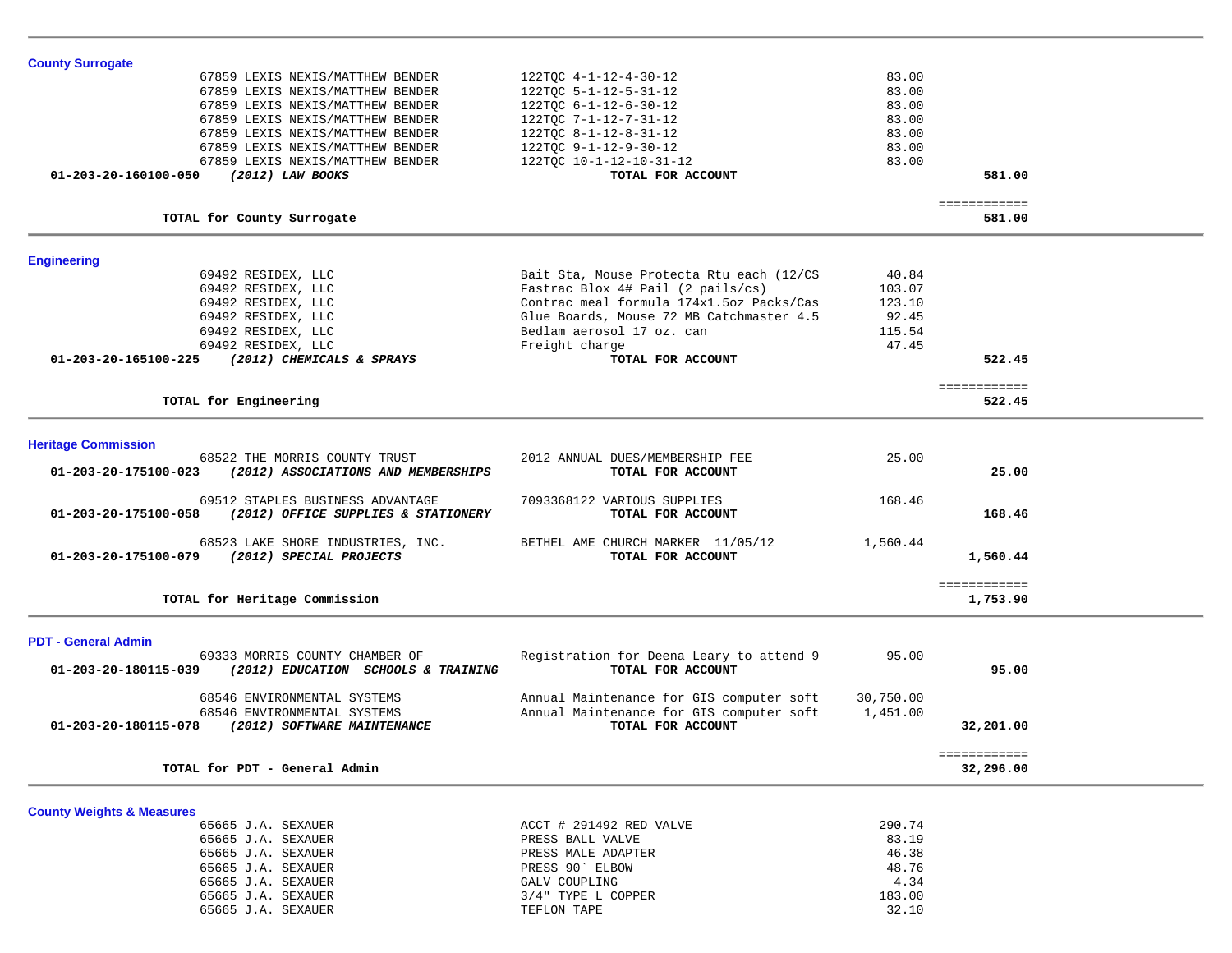| <b>County Surrogate</b>                                      |                                          |           |                          |  |
|--------------------------------------------------------------|------------------------------------------|-----------|--------------------------|--|
| 67859 LEXIS NEXIS/MATTHEW BENDER                             | 122TQC 4-1-12-4-30-12                    | 83.00     |                          |  |
| 67859 LEXIS NEXIS/MATTHEW BENDER                             | 122TQC 5-1-12-5-31-12                    | 83.00     |                          |  |
| 67859 LEXIS NEXIS/MATTHEW BENDER                             | $122TQC$ 6-1-12-6-30-12                  | 83.00     |                          |  |
| 67859 LEXIS NEXIS/MATTHEW BENDER                             | 122TOC 7-1-12-7-31-12                    | 83.00     |                          |  |
| 67859 LEXIS NEXIS/MATTHEW BENDER                             | 122TQC 8-1-12-8-31-12                    | 83.00     |                          |  |
| 67859 LEXIS NEXIS/MATTHEW BENDER                             | 122TQC 9-1-12-9-30-12                    | 83.00     |                          |  |
| 67859 LEXIS NEXIS/MATTHEW BENDER                             | 122TQC 10-1-12-10-31-12                  | 83.00     |                          |  |
| 01-203-20-160100-050<br>(2012) LAW BOOKS                     | TOTAL FOR ACCOUNT                        |           | 581.00                   |  |
|                                                              |                                          |           | ============             |  |
| TOTAL for County Surrogate                                   |                                          |           | 581.00                   |  |
| <b>Engineering</b>                                           |                                          |           |                          |  |
| 69492 RESIDEX, LLC                                           | Bait Sta, Mouse Protecta Rtu each (12/CS | 40.84     |                          |  |
| 69492 RESIDEX, LLC                                           | Fastrac Blox 4# Pail (2 pails/cs)        | 103.07    |                          |  |
| 69492 RESIDEX, LLC                                           | Contrac meal formula 174x1.5oz Packs/Cas | 123.10    |                          |  |
| 69492 RESIDEX, LLC                                           | Glue Boards, Mouse 72 MB Catchmaster 4.5 | 92.45     |                          |  |
| 69492 RESIDEX, LLC                                           | Bedlam aerosol 17 oz. can                | 115.54    |                          |  |
| 69492 RESIDEX, LLC                                           | Freight charge                           | 47.45     |                          |  |
| 01-203-20-165100-225<br>(2012) CHEMICALS & SPRAYS            | TOTAL FOR ACCOUNT                        |           | 522.45                   |  |
|                                                              |                                          |           | ============             |  |
| TOTAL for Engineering                                        |                                          |           | 522.45                   |  |
| <b>Heritage Commission</b>                                   |                                          |           |                          |  |
| 68522 THE MORRIS COUNTY TRUST                                | 2012 ANNUAL DUES/MEMBERSHIP FEE          | 25.00     |                          |  |
| 01-203-20-175100-023<br>(2012) ASSOCIATIONS AND MEMBERSHIPS  | TOTAL FOR ACCOUNT                        |           | 25.00                    |  |
| 69512 STAPLES BUSINESS ADVANTAGE                             | 7093368122 VARIOUS SUPPLIES              | 168.46    |                          |  |
| 01-203-20-175100-058<br>(2012) OFFICE SUPPLIES & STATIONERY  | TOTAL FOR ACCOUNT                        |           | 168.46                   |  |
| 68523 LAKE SHORE INDUSTRIES, INC.                            | BETHEL AME CHURCH MARKER 11/05/12        | 1,560.44  |                          |  |
| (2012) SPECIAL PROJECTS<br>01-203-20-175100-079              | TOTAL FOR ACCOUNT                        |           | 1,560.44                 |  |
| TOTAL for Heritage Commission                                |                                          |           | ============<br>1,753.90 |  |
|                                                              |                                          |           |                          |  |
| <b>PDT - General Admin</b><br>69333 MORRIS COUNTY CHAMBER OF | Registration for Deena Leary to attend 9 | 95.00     |                          |  |
| 01-203-20-180115-039<br>(2012) EDUCATION SCHOOLS & TRAINING  | TOTAL FOR ACCOUNT                        |           | 95.00                    |  |
| 68546 ENVIRONMENTAL SYSTEMS                                  | Annual Maintenance for GIS computer soft | 30,750.00 |                          |  |
| 68546 ENVIRONMENTAL SYSTEMS                                  | Annual Maintenance for GIS computer soft | 1,451.00  |                          |  |
| 01-203-20-180115-078<br>(2012) SOFTWARE MAINTENANCE          | TOTAL FOR ACCOUNT                        |           | 32,201.00                |  |
|                                                              |                                          |           | ============             |  |
| TOTAL for PDT - General Admin                                |                                          |           | 32,296.00                |  |
| <b>County Weights &amp; Measures</b>                         |                                          |           |                          |  |
| 65665 J.A. SEXAUER                                           | ACCT # 291492 RED VALVE                  | 290.74    |                          |  |
| 65665 J.A. SEXAUER                                           | PRESS BALL VALVE                         | 83.19     |                          |  |

65665 J.A. SEXAUER PRESS BALL VALVE 65665 J.A. SEXAUER **PRESS MALE ADAPTER** 46.38 65665 J.A. SEXAUER PRESS 90 ELBOW  $48.76$ <br> $4.34$ 65665 J.A. SEXAUER GALV COUPLING 183.00 65665 J.A. SEXAUER 3/4" TYPE L COPPER 183.00 65665 J.A. SEXAUER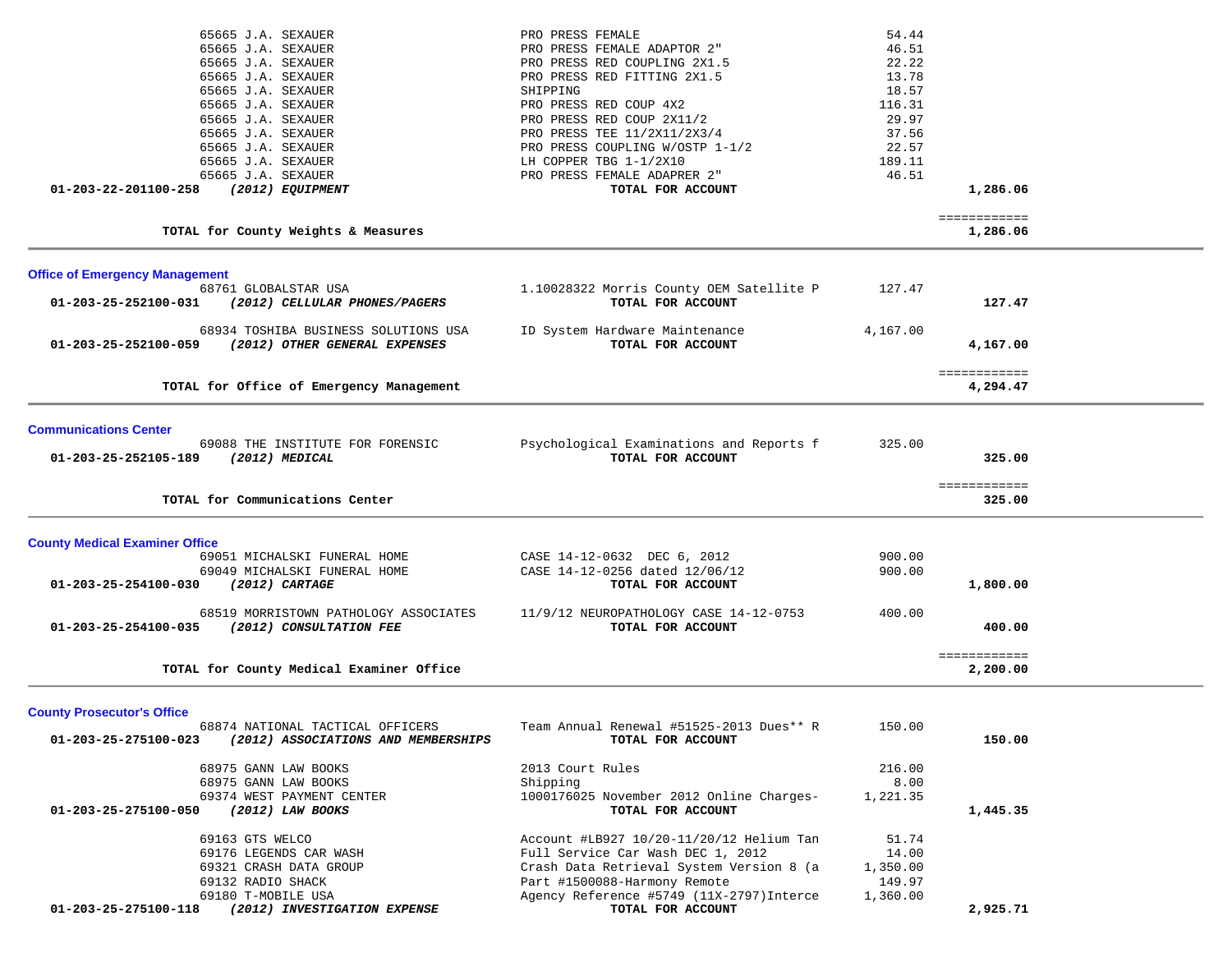| 69163 GTS WELCO<br>69176 LEGENDS CAR WASH<br>69321 CRASH DATA GROUP                                                                                                                                                                                                                        | Account #LB927 10/20-11/20/12 Helium Tan<br>Full Service Car Wash DEC 1, 2012<br>Crash Data Retrieval System Version 8 (a                                                                                                                                                                                                         | 51.74<br>14.00<br>1,350.00                                                                        |                          |  |
|--------------------------------------------------------------------------------------------------------------------------------------------------------------------------------------------------------------------------------------------------------------------------------------------|-----------------------------------------------------------------------------------------------------------------------------------------------------------------------------------------------------------------------------------------------------------------------------------------------------------------------------------|---------------------------------------------------------------------------------------------------|--------------------------|--|
| 68975 GANN LAW BOOKS<br>68975 GANN LAW BOOKS<br>69374 WEST PAYMENT CENTER<br>01-203-25-275100-050<br>(2012) LAW BOOKS                                                                                                                                                                      | 2013 Court Rules<br>Shipping<br>1000176025 November 2012 Online Charges-<br>TOTAL FOR ACCOUNT                                                                                                                                                                                                                                     | 216.00<br>8.00<br>1,221.35                                                                        | 1,445.35                 |  |
| <b>County Prosecutor's Office</b><br>68874 NATIONAL TACTICAL OFFICERS<br>01-203-25-275100-023<br>(2012) ASSOCIATIONS AND MEMBERSHIPS                                                                                                                                                       | Team Annual Renewal #51525-2013 Dues** R<br>TOTAL FOR ACCOUNT                                                                                                                                                                                                                                                                     | 150.00                                                                                            | 150.00                   |  |
| TOTAL for County Medical Examiner Office                                                                                                                                                                                                                                                   |                                                                                                                                                                                                                                                                                                                                   |                                                                                                   | 2,200.00                 |  |
| 68519 MORRISTOWN PATHOLOGY ASSOCIATES<br>01-203-25-254100-035<br>(2012) CONSULTATION FEE                                                                                                                                                                                                   | 11/9/12 NEUROPATHOLOGY CASE 14-12-0753<br>TOTAL FOR ACCOUNT                                                                                                                                                                                                                                                                       | 400.00                                                                                            | 400.00<br>============   |  |
| <b>County Medical Examiner Office</b><br>69051 MICHALSKI FUNERAL HOME<br>69049 MICHALSKI FUNERAL HOME<br>$(2012)$ CARTAGE<br>01-203-25-254100-030                                                                                                                                          | CASE 14-12-0632 DEC 6, 2012<br>CASE 14-12-0256 dated 12/06/12<br>TOTAL FOR ACCOUNT                                                                                                                                                                                                                                                | 900.00<br>900.00                                                                                  | 1,800.00                 |  |
| TOTAL for Communications Center                                                                                                                                                                                                                                                            |                                                                                                                                                                                                                                                                                                                                   |                                                                                                   | ============<br>325.00   |  |
| <b>Communications Center</b><br>69088 THE INSTITUTE FOR FORENSIC<br>01-203-25-252105-189<br>$(2012)$ MEDICAL                                                                                                                                                                               | Psychological Examinations and Reports f<br>TOTAL FOR ACCOUNT                                                                                                                                                                                                                                                                     | 325.00                                                                                            | 325.00                   |  |
| TOTAL for Office of Emergency Management                                                                                                                                                                                                                                                   |                                                                                                                                                                                                                                                                                                                                   |                                                                                                   | ============<br>4,294.47 |  |
| 68934 TOSHIBA BUSINESS SOLUTIONS USA<br>01-203-25-252100-059<br>(2012) OTHER GENERAL EXPENSES                                                                                                                                                                                              | ID System Hardware Maintenance<br>TOTAL FOR ACCOUNT                                                                                                                                                                                                                                                                               | 4,167.00                                                                                          | 4,167.00                 |  |
| <b>Office of Emergency Management</b><br>68761 GLOBALSTAR USA<br>01-203-25-252100-031<br>(2012) CELLULAR PHONES/PAGERS                                                                                                                                                                     | 1.10028322 Morris County OEM Satellite P<br>TOTAL FOR ACCOUNT                                                                                                                                                                                                                                                                     | 127.47                                                                                            | 127.47                   |  |
| TOTAL for County Weights & Measures                                                                                                                                                                                                                                                        |                                                                                                                                                                                                                                                                                                                                   |                                                                                                   | ============<br>1,286.06 |  |
| 65665 J.A. SEXAUER<br>65665 J.A. SEXAUER<br>65665 J.A. SEXAUER<br>65665 J.A. SEXAUER<br>65665 J.A. SEXAUER<br>65665 J.A. SEXAUER<br>65665 J.A. SEXAUER<br>65665 J.A. SEXAUER<br>65665 J.A. SEXAUER<br>65665 J.A. SEXAUER<br>65665 J.A. SEXAUER<br>(2012) EQUIPMENT<br>01-203-22-201100-258 | PRO PRESS FEMALE<br>PRO PRESS FEMALE ADAPTOR 2"<br>PRO PRESS RED COUPLING 2X1.5<br>PRO PRESS RED FITTING 2X1.5<br>SHIPPING<br>PRO PRESS RED COUP 4X2<br>PRO PRESS RED COUP 2X11/2<br>PRO PRESS TEE 11/2X11/2X3/4<br>PRO PRESS COUPLING W/OSTP 1-1/2<br>LH COPPER TBG 1-1/2X10<br>PRO PRESS FEMALE ADAPRER 2"<br>TOTAL FOR ACCOUNT | 54.44<br>46.51<br>22.22<br>13.78<br>18.57<br>116.31<br>29.97<br>37.56<br>22.57<br>189.11<br>46.51 | 1,286.06                 |  |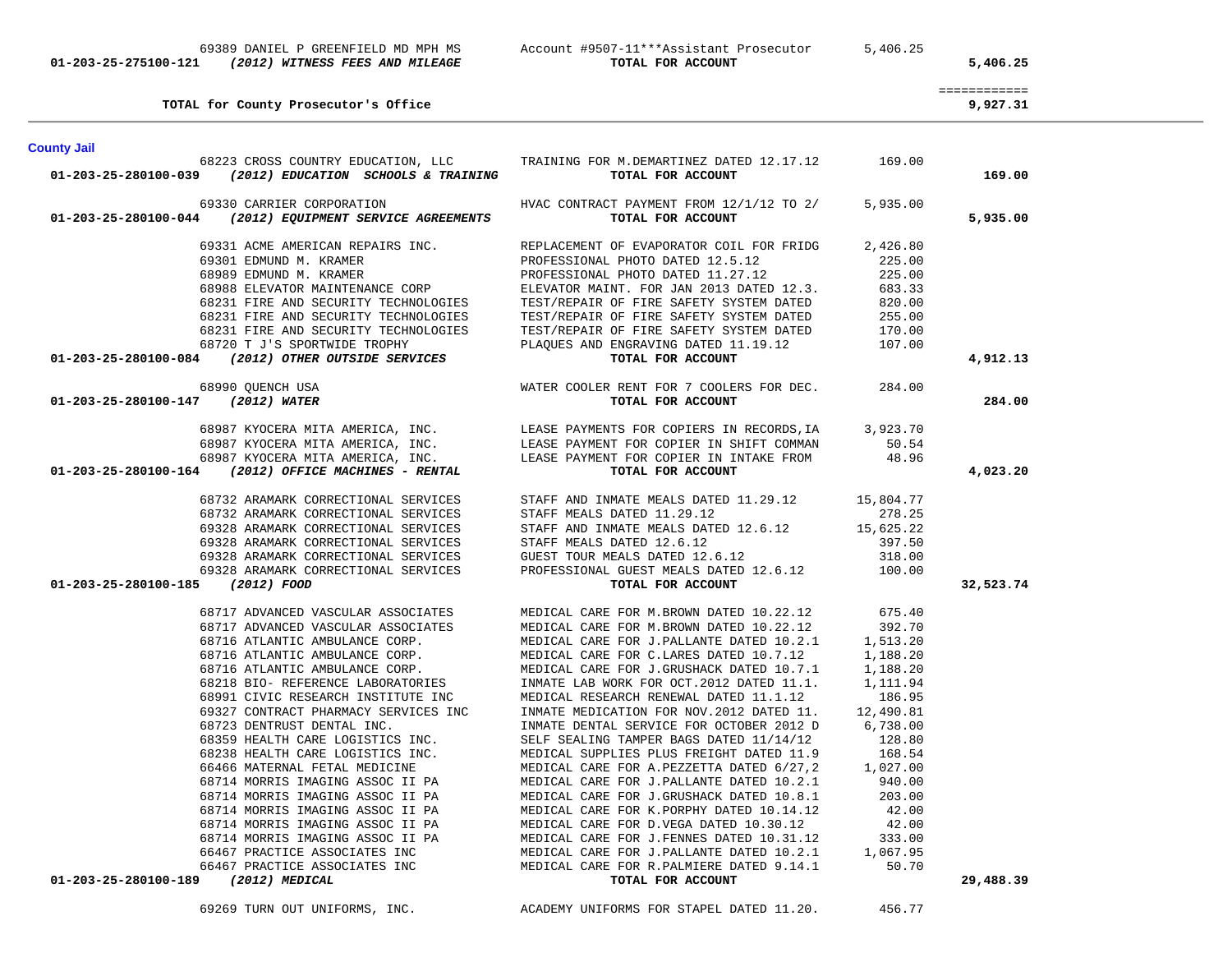| <b>County Jail</b>                                                                                                                                                                                                                           |                                                                                                                                                                                                                                            |           |
|----------------------------------------------------------------------------------------------------------------------------------------------------------------------------------------------------------------------------------------------|--------------------------------------------------------------------------------------------------------------------------------------------------------------------------------------------------------------------------------------------|-----------|
| $01-203-25-280100-039$ (2012) EDUCATION SCHOOLS & TRAINING                                                                                                                                                                                   | 68223 CROSS COUNTRY EDUCATION, LLC TRAINING FOR M.DEMARTINEZ DATED 12.17.12 169.00<br>TOTAL FOR ACCOUNT                                                                                                                                    | 169.00    |
| 69330 CARRIER CORPORATION<br>01-203-25-280100-044 (2012) EQUIPMENT SERVICE AGREEMENTS                                                                                                                                                        | HVAC CONTRACT PAYMENT FROM $12/1/12$ TO 2/ 5,935.00<br>TOTAL FOR ACCOUNT                                                                                                                                                                   | 5,935.00  |
|                                                                                                                                                                                                                                              | 69331 ACME AMERICAN REPAIRS INC. THE REPLACEMENT OF EVAPORATOR COIL FOR FRIDG 2,426.80                                                                                                                                                     |           |
|                                                                                                                                                                                                                                              |                                                                                                                                                                                                                                            |           |
|                                                                                                                                                                                                                                              |                                                                                                                                                                                                                                            |           |
|                                                                                                                                                                                                                                              |                                                                                                                                                                                                                                            |           |
|                                                                                                                                                                                                                                              |                                                                                                                                                                                                                                            |           |
|                                                                                                                                                                                                                                              |                                                                                                                                                                                                                                            |           |
|                                                                                                                                                                                                                                              |                                                                                                                                                                                                                                            |           |
| 0331 EDMUND M. KRAMER<br>69301 EDMUND M. KRAMER<br>68988 ELEVATOR MAINTENANCE CORP<br>68988 ELEVATOR MAINTENANCE CORP<br>68988 ELEVATOR MAINTENANCE CORP<br>68231 FIRE AND SECURITY TECHNOLOGIES<br>68231 FIRE AND SECURITY TECHNOLOGIES<br> |                                                                                                                                                                                                                                            | 4,912.13  |
| 68990 QUENCH USA                                                                                                                                                                                                                             |                                                                                                                                                                                                                                            |           |
| 01-203-25-280100-147 (2012) WATER                                                                                                                                                                                                            | WATER COOLER RENT FOR 7 COOLERS FOR DEC. 284.00<br><b>TOTAL FOR ACCOUNT</b>                                                                                                                                                                | 284.00    |
|                                                                                                                                                                                                                                              |                                                                                                                                                                                                                                            |           |
|                                                                                                                                                                                                                                              |                                                                                                                                                                                                                                            |           |
|                                                                                                                                                                                                                                              |                                                                                                                                                                                                                                            |           |
| 68987 KYOCERA MITA AMERICA, INC. LEASE PAYMENTS FOR COPIERS IN RECORDS, IA 68987 KYOCERA MITA AMERICA, INC. LEASE PAYMENT FOR COPIER IN SHIFT COMMAN 68987 KYOCERA MITA AMERICA, INC. LEASE PAYMENT FOR COPIER IN INTAKE FROM                |                                                                                                                                                                                                                                            | 4,023.20  |
|                                                                                                                                                                                                                                              |                                                                                                                                                                                                                                            |           |
|                                                                                                                                                                                                                                              |                                                                                                                                                                                                                                            |           |
|                                                                                                                                                                                                                                              |                                                                                                                                                                                                                                            |           |
|                                                                                                                                                                                                                                              |                                                                                                                                                                                                                                            |           |
|                                                                                                                                                                                                                                              |                                                                                                                                                                                                                                            |           |
|                                                                                                                                                                                                                                              |                                                                                                                                                                                                                                            |           |
| 01-203-25-280100-185 (2012) FOOD                                                                                                                                                                                                             | 68732 ARAMARK CORRECTIONAL SERVICES<br>69328 ARAMARK CORRECTIONAL SERVICES<br>69328 ARAMARK CORRECTIONAL SERVICES<br>69328 ARAMARK CORRECTIONAL SERVICES<br>69328 ARAMARK CORRECTIONAL SERVICES<br>69328 ARAMARK CORRECTIONAL SERVICES<br> | 32,523.74 |
|                                                                                                                                                                                                                                              |                                                                                                                                                                                                                                            |           |
|                                                                                                                                                                                                                                              |                                                                                                                                                                                                                                            |           |
|                                                                                                                                                                                                                                              |                                                                                                                                                                                                                                            |           |
|                                                                                                                                                                                                                                              |                                                                                                                                                                                                                                            |           |
|                                                                                                                                                                                                                                              |                                                                                                                                                                                                                                            |           |
|                                                                                                                                                                                                                                              |                                                                                                                                                                                                                                            |           |
|                                                                                                                                                                                                                                              |                                                                                                                                                                                                                                            |           |
|                                                                                                                                                                                                                                              |                                                                                                                                                                                                                                            |           |
|                                                                                                                                                                                                                                              |                                                                                                                                                                                                                                            |           |
|                                                                                                                                                                                                                                              |                                                                                                                                                                                                                                            |           |
|                                                                                                                                                                                                                                              |                                                                                                                                                                                                                                            |           |
|                                                                                                                                                                                                                                              |                                                                                                                                                                                                                                            |           |
|                                                                                                                                                                                                                                              |                                                                                                                                                                                                                                            |           |
|                                                                                                                                                                                                                                              |                                                                                                                                                                                                                                            |           |
|                                                                                                                                                                                                                                              |                                                                                                                                                                                                                                            |           |
|                                                                                                                                                                                                                                              |                                                                                                                                                                                                                                            |           |
|                                                                                                                                                                                                                                              |                                                                                                                                                                                                                                            |           |
|                                                                                                                                                                                                                                              |                                                                                                                                                                                                                                            |           |
| 01-203-25-280100-189 (2012) MEDICAL                                                                                                                                                                                                          | TOTAL FOR ACCOUNT                                                                                                                                                                                                                          | 29,488.39 |
|                                                                                                                                                                                                                                              |                                                                                                                                                                                                                                            |           |

============

**TOTAL for County Prosecutor's Office 9,927.31**

## **01-203-25-275100-121** *(2012) WITNESS FEES AND MILEAGE* **TOTAL FOR ACCOUNT 5,406.25**

# 69389 DANIEL P GREENFIELD MD MPH MS Account #9507-11\*\*\*Assistant Prosecutor 5,406.25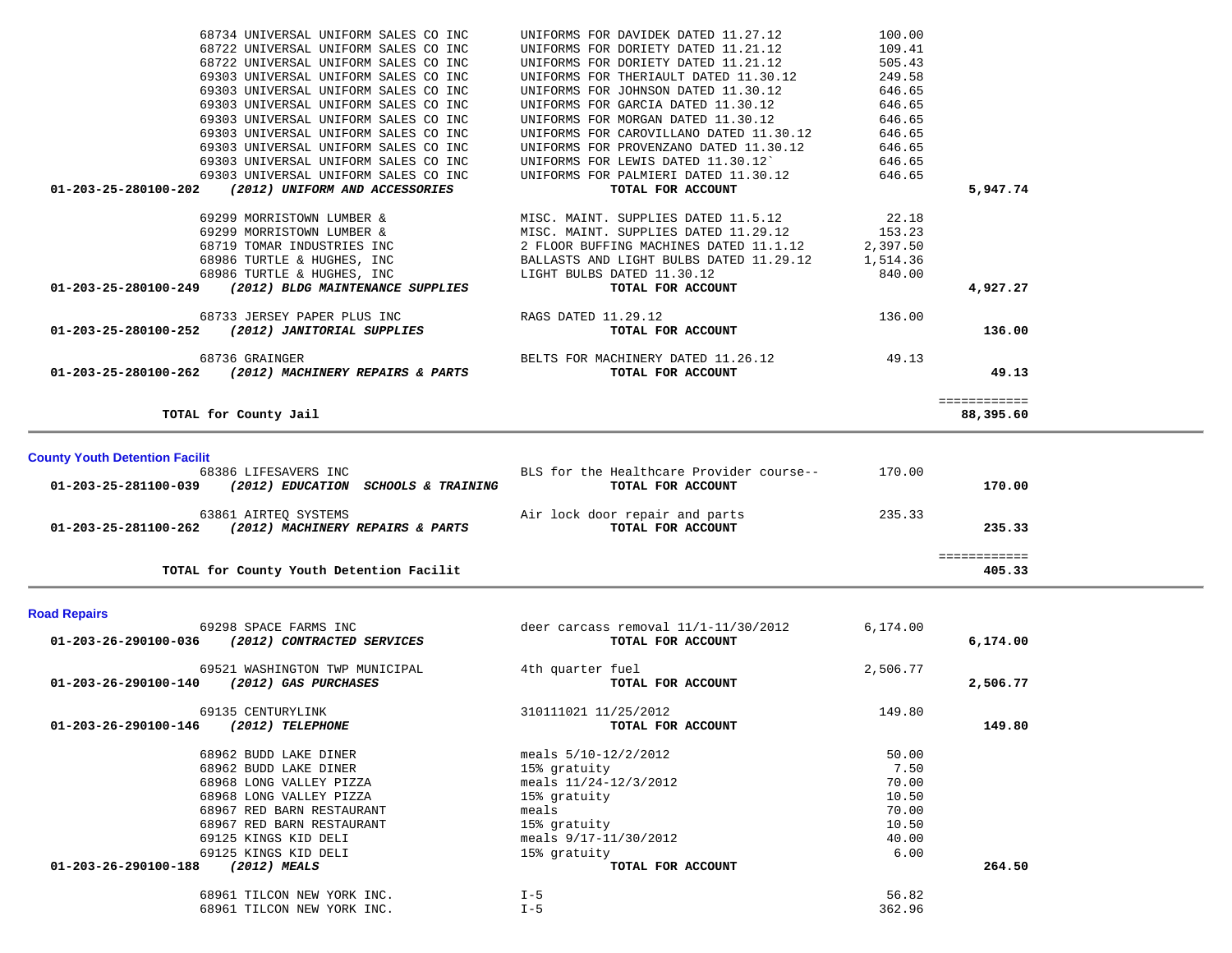| TOTAL for County Youth Detention Facilit                                                                                  |                                                                                            |                  | 405.33                    |  |
|---------------------------------------------------------------------------------------------------------------------------|--------------------------------------------------------------------------------------------|------------------|---------------------------|--|
| 63861 AIRTEO SYSTEMS<br>01-203-25-281100-262<br>(2012) MACHINERY REPAIRS & PARTS                                          | Air lock door repair and parts<br>TOTAL FOR ACCOUNT                                        | 235.33           | 235.33<br>============    |  |
| <b>County Youth Detention Facilit</b><br>68386 LIFESAVERS INC<br>01-203-25-281100-039 (2012) EDUCATION SCHOOLS & TRAINING | BLS for the Healthcare Provider course--<br>TOTAL FOR ACCOUNT                              | 170.00           | 170.00                    |  |
| TOTAL for County Jail                                                                                                     |                                                                                            |                  | ============<br>88,395.60 |  |
| 68736 GRAINGER<br>01-203-25-280100-262 (2012) MACHINERY REPAIRS & PARTS                                                   | BELTS FOR MACHINERY DATED 11.26.12 49.13<br>TOTAL FOR ACCOUNT                              |                  | 49.13                     |  |
| 68733 JERSEY PAPER PLUS INC<br>01-203-25-280100-252 (2012) JANITORIAL SUPPLIES                                            | RAGS DATED 11.29.12<br>TOTAL FOR ACCOUNT                                                   | 136.00           | 136.00                    |  |
| 68986 TURTLE & HUGHES, INC<br>01-203-25-280100-249<br>(2012) BLDG MAINTENANCE SUPPLIES                                    | LIGHT BULBS DATED 11.30.12<br>TOTAL FOR ACCOUNT                                            | 840.00           | 4,927.27                  |  |
| 68719 TOMAR INDUSTRIES INC<br>68986 TURTLE & HUGHES, INC                                                                  | 2 FLOOR BUFFING MACHINES DATED 11.1.12 2,397.50<br>BALLASTS AND LIGHT BULBS DATED 11.29.12 | 1,514.36         |                           |  |
| 69299 MORRISTOWN LUMBER &<br>69299 MORRISTOWN LUMBER &                                                                    | MISC. MAINT. SUPPLIES DATED 11.5.12<br>MISC. MAINT. SUPPLIES DATED 11.29.12 153.23         | 22.18            |                           |  |
| 69303 UNIVERSAL UNIFORM SALES CO INC<br>$01 - 203 - 25 - 280100 - 202$<br>(2012) UNIFORM AND ACCESSORIES                  | UNIFORMS FOR PALMIERI DATED 11.30.12<br>TOTAL FOR ACCOUNT                                  | 646.65           | 5,947.74                  |  |
| 69303 UNIVERSAL UNIFORM SALES CO INC<br>69303 UNIVERSAL UNIFORM SALES CO INC                                              | UNIFORMS FOR PROVENZANO DATED 11.30.12<br>UNIFORMS FOR LEWIS DATED 11.30.12                | 646.65<br>646.65 |                           |  |
| 69303 UNIVERSAL UNIFORM SALES CO INC<br>69303 UNIVERSAL UNIFORM SALES CO INC                                              | UNIFORMS FOR MORGAN DATED 11.30.12<br>UNIFORMS FOR CAROVILLANO DATED 11.30.12              | 646.65<br>646.65 |                           |  |
| 69303 UNIVERSAL UNIFORM SALES CO INC<br>69303 UNIVERSAL UNIFORM SALES CO INC                                              | UNIFORMS FOR JOHNSON DATED 11.30.12<br>UNIFORMS FOR GARCIA DATED 11.30.12                  | 646.65<br>646.65 |                           |  |
| 68722 UNIVERSAL UNIFORM SALES CO INC<br>69303 UNIVERSAL UNIFORM SALES CO INC                                              | UNIFORMS FOR DORIETY DATED 11.21.12<br>UNIFORMS FOR THERIAULT DATED 11.30.12               | 505.43<br>249.58 |                           |  |
| 68734 UNIVERSAL UNIFORM SALES CO INC<br>68722 UNIVERSAL UNIFORM SALES CO INC                                              | UNIFORMS FOR DAVIDEK DATED 11.27.12<br>UNIFORMS FOR DORIETY DATED 11.21.12                 | 100.00<br>109.41 |                           |  |

### **Road Repairs**

| 69298 SPACE FARMS INC                              | deer carcass removal $11/1-11/30/2012$ | 6,174.00 |          |
|----------------------------------------------------|----------------------------------------|----------|----------|
| (2012) CONTRACTED SERVICES<br>01-203-26-290100-036 | TOTAL FOR ACCOUNT                      |          | 6,174.00 |
| 69521 WASHINGTON TWP MUNICIPAL                     | 4th quarter fuel                       | 2,506.77 |          |
| 01-203-26-290100-140<br>(2012) GAS PURCHASES       | TOTAL FOR ACCOUNT                      |          | 2,506.77 |
| 69135 CENTURYLINK                                  | 310111021 11/25/2012                   | 149.80   |          |
| (2012) TELEPHONE<br>01-203-26-290100-146           | TOTAL FOR ACCOUNT                      |          | 149.80   |
| 68962 BUDD LAKE DINER                              | meals $5/10-12/2/2012$                 | 50.00    |          |
| 68962 BUDD LAKE DINER                              | 15% gratuity                           | 7.50     |          |
| 68968 LONG VALLEY PIZZA                            | meals $11/24-12/3/2012$                | 70.00    |          |
| 68968 LONG VALLEY PIZZA                            | 15% gratuity                           | 10.50    |          |
| 68967 RED BARN RESTAURANT                          | meals                                  | 70.00    |          |
| 68967 RED BARN RESTAURANT                          | 15% gratuity                           | 10.50    |          |
| 69125 KINGS KID DELI                               | meals $9/17-11/30/2012$                | 40.00    |          |
| 69125 KINGS KID DELI                               | 15% gratuity                           | 6.00     |          |
| 01-203-26-290100-188<br>$(2012)$ MEALS             | TOTAL FOR ACCOUNT                      |          | 264.50   |
| 68961 TILCON NEW YORK INC.                         | $I - 5$                                | 56.82    |          |
| 68961 TILCON NEW YORK INC.                         | $I - 5$                                | 362.96   |          |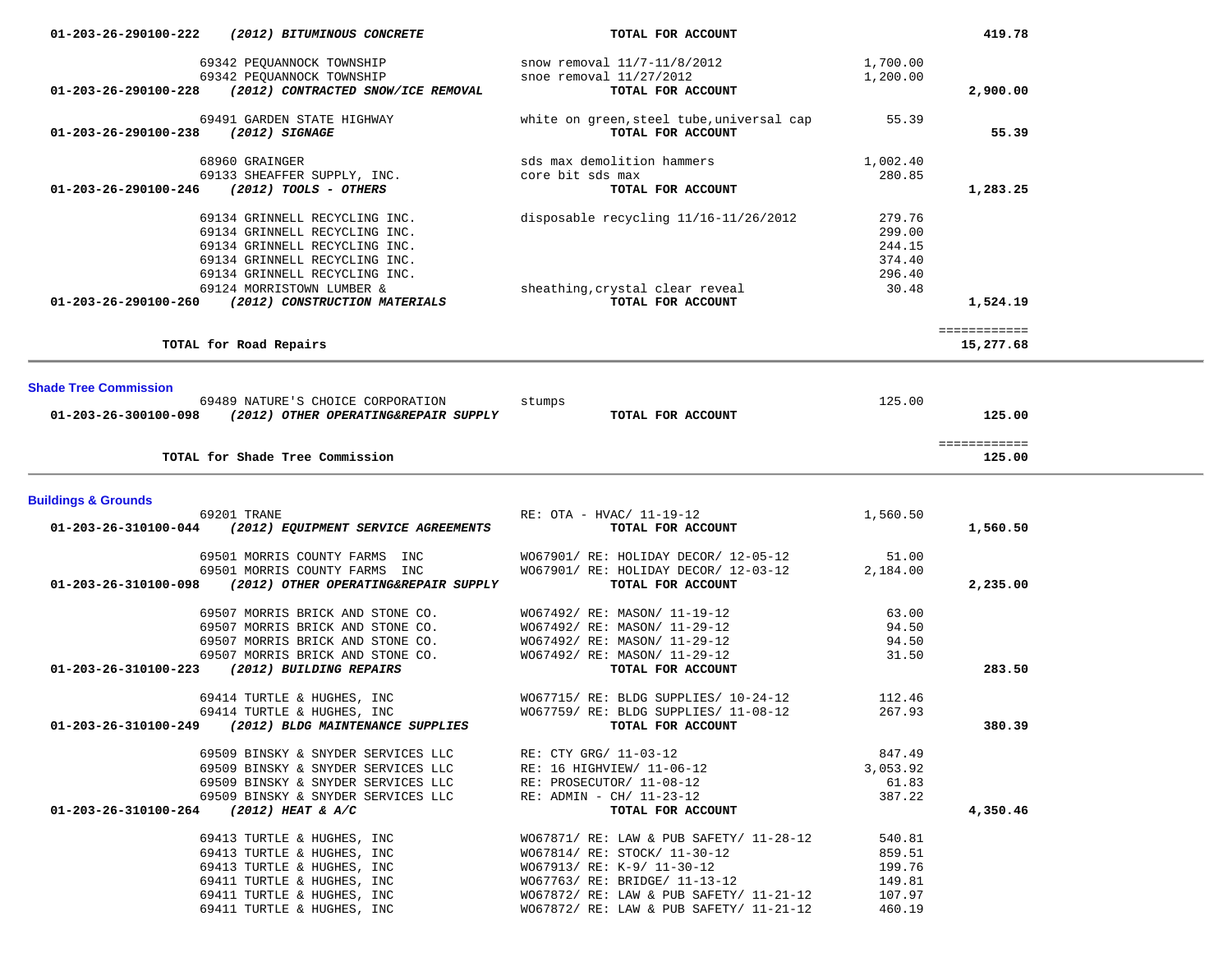| 01-203-26-290100-222           | (2012) BITUMINOUS CONCRETE                                               | TOTAL FOR ACCOUNT                                                                  |                    | 419.78       |  |
|--------------------------------|--------------------------------------------------------------------------|------------------------------------------------------------------------------------|--------------------|--------------|--|
|                                |                                                                          | snow removal 11/7-11/8/2012                                                        | 1,700.00           |              |  |
|                                |                                                                          | snoe removal $11/27/2012$                                                          | 1,200.00           |              |  |
|                                | 01-203-26-290100-228 (2012) CONTRACTED SNOW/ICE REMOVAL                  | TOTAL FOR ACCOUNT                                                                  |                    | 2,900.00     |  |
|                                |                                                                          |                                                                                    |                    |              |  |
|                                | 69491 GARDEN STATE HIGHWAY                                               | white on green, steel tube, universal cap 55.39                                    |                    |              |  |
| 01-203-26-290100-238           | (2012) SIGNAGE                                                           | TOTAL FOR ACCOUNT                                                                  |                    | 55.39        |  |
|                                |                                                                          |                                                                                    |                    |              |  |
|                                | 68960 GRAINGER<br>69133 SHEAFFER SUPPLY, INC.                            | sds max demolition hammers                                                         | 1,002.40           |              |  |
|                                |                                                                          | core bit sds max                                                                   | 280.85             |              |  |
|                                | $01 - 203 - 26 - 290100 - 246$ (2012) TOOLS - OTHERS                     | TOTAL FOR ACCOUNT                                                                  |                    | 1,283.25     |  |
|                                | 69134 GRINNELL RECYCLING INC.                                            | disposable recycling 11/16-11/26/2012                                              | 279.76             |              |  |
|                                | 69134 GRINNELL RECYCLING INC.                                            |                                                                                    | 299.00             |              |  |
|                                | 69134 GRINNELL RECYCLING INC.                                            |                                                                                    | 244.15             |              |  |
|                                | 69134 GRINNELL RECYCLING INC.                                            |                                                                                    | 374.40             |              |  |
|                                | 69134 GRINNELL RECYCLING INC.                                            |                                                                                    | 296.40             |              |  |
|                                | 69124 MORRISTOWN LUMBER &                                                | sheathing, crystal clear reveal<br>TOTAL FOR ACCOUNT                               | 30.48              |              |  |
|                                | 01-203-26-290100-260 (2012) CONSTRUCTION MATERIALS                       | TOTAL FOR ACCOUNT                                                                  |                    | 1,524.19     |  |
|                                |                                                                          |                                                                                    |                    |              |  |
|                                |                                                                          |                                                                                    |                    | ============ |  |
|                                | TOTAL for Road Repairs                                                   |                                                                                    |                    | 15,277.68    |  |
|                                |                                                                          |                                                                                    |                    |              |  |
| <b>Shade Tree Commission</b>   |                                                                          |                                                                                    |                    |              |  |
|                                | 69489 NATURE'S CHOICE CORPORATION                                        | stumps                                                                             | 125.00             |              |  |
|                                | $01-203-26-300100-098$ (2012) OTHER OPERATING&REPAIR SUPPLY              | TOTAL FOR ACCOUNT                                                                  |                    | 125.00       |  |
|                                |                                                                          |                                                                                    |                    |              |  |
|                                |                                                                          |                                                                                    |                    | ============ |  |
|                                | TOTAL for Shade Tree Commission                                          |                                                                                    |                    | 125.00       |  |
|                                |                                                                          |                                                                                    |                    |              |  |
|                                |                                                                          |                                                                                    |                    |              |  |
| <b>Buildings &amp; Grounds</b> |                                                                          |                                                                                    |                    |              |  |
|                                | 69201 TRANE                                                              | RE: OTA - HVAC/ 11-19-12                                                           | 1,560.50           |              |  |
|                                | 01-203-26-310100-044 (2012) EQUIPMENT SERVICE AGREEMENTS                 | TOTAL FOR ACCOUNT                                                                  |                    | 1,560.50     |  |
|                                |                                                                          |                                                                                    |                    |              |  |
|                                | 69501 MORRIS COUNTY FARMS INC                                            | W067901/ RE: HOLIDAY DECOR/ 12-05-12                                               | 51.00              |              |  |
|                                | 69501 MORRIS COUNTY FARMS INC                                            | WO67901/ RE: HOLIDAY DECOR/ 12-03-12                                               | 2,184.00           |              |  |
|                                | 01-203-26-310100-098 (2012) OTHER OPERATING&REPAIR SUPPLY                | TOTAL FOR ACCOUNT                                                                  |                    | 2,235.00     |  |
|                                | 69507 MORRIS BRICK AND STONE CO.                                         |                                                                                    | 63.00              |              |  |
|                                | 69507 MORRIS BRICK AND STONE CO.                                         | WO67492/ RE: MASON/ 11-19-12                                                       | 94.50              |              |  |
|                                | 69507 MORRIS BRICK AND STONE CO.                                         | W067492/ RE: MASON/ 11-29-12<br>WO67492/ RE: MASON/ 11-29-12                       | 94.50              |              |  |
|                                | 69507 MORRIS BRICK AND STONE CO.                                         | W067492/ RE: MASON/ 11-29-12                                                       | 31.50              |              |  |
|                                | 01-203-26-310100-223 (2012) BUILDING REPAIRS                             | TOTAL FOR ACCOUNT                                                                  |                    | 283.50       |  |
|                                |                                                                          |                                                                                    |                    |              |  |
|                                | 69414 TURTLE & HUGHES, INC                                               | WO67715/ RE: BLDG SUPPLIES/ 10-24-12                                               | 112.46             |              |  |
|                                | 69414 TURTLE & HUGHES, INC                                               | WO67759/ RE: BLDG SUPPLIES/ 11-08-12                                               | 267.93             |              |  |
|                                | 01-203-26-310100-249 (2012) BLDG MAINTENANCE SUPPLIES                    | TOTAL FOR ACCOUNT                                                                  |                    | 380.39       |  |
|                                |                                                                          |                                                                                    |                    |              |  |
|                                | 69509 BINSKY & SNYDER SERVICES LLC<br>69509 BINSKY & SNYDER SERVICES LLC | RE: CTY GRG/ 11-03-12<br>RE: 16 HIGHVIEW/ 11-06-12                                 | 847.49<br>3,053.92 |              |  |
|                                | 69509 BINSKY & SNYDER SERVICES LLC                                       | RE: PROSECUTOR/ 11-08-12                                                           | 61.83              |              |  |
|                                | 69509 BINSKY & SNYDER SERVICES LLC                                       | $RE:$ ADMIN - CH/ 11-23-12                                                         | 387.22             |              |  |
| 01-203-26-310100-264           | <i>(2012) HEAT &amp; A/C</i>                                             | TOTAL FOR ACCOUNT                                                                  |                    | 4,350.46     |  |
|                                |                                                                          |                                                                                    |                    |              |  |
|                                | 69413 TURTLE & HUGHES, INC                                               | W067871/ RE: LAW & PUB SAFETY/ 11-28-12                                            | 540.81             |              |  |
|                                | 69413 TURTLE & HUGHES, INC                                               | WO67814/ RE: STOCK/ 11-30-12                                                       | 859.51             |              |  |
|                                | 69413 TURTLE & HUGHES, INC                                               | WO67913/ RE: K-9/ 11-30-12                                                         | 199.76             |              |  |
|                                | 69411 TURTLE & HUGHES, INC                                               | W067763/ RE: BRIDGE/ 11-13-12                                                      | 149.81             |              |  |
|                                | 69411 TURTLE & HUGHES, INC<br>69411 TURTLE & HUGHES, INC                 | W067872/ RE: LAW & PUB SAFETY/ 11-21-12<br>W067872/ RE: LAW & PUB SAFETY/ 11-21-12 | 107.97<br>460.19   |              |  |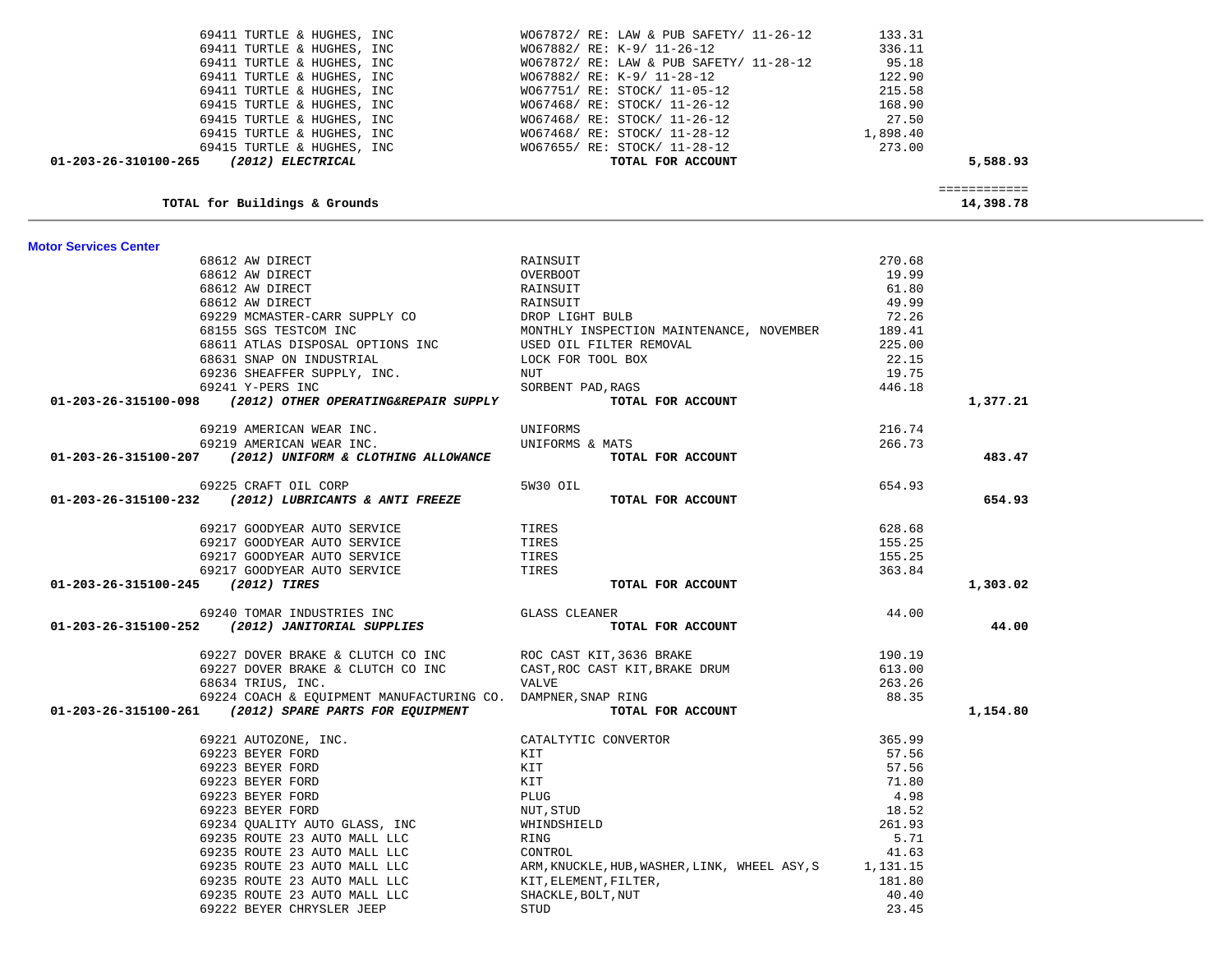| 69411 TURTLE & HUGHES, INC                                   | W067882/ RE: K-9/ 11-26-12                    | 336.11   |                           |  |
|--------------------------------------------------------------|-----------------------------------------------|----------|---------------------------|--|
| 69411 TURTLE & HUGHES, INC                                   | W067872/ RE: LAW & PUB SAFETY/ 11-28-12       | 95.18    |                           |  |
| 69411 TURTLE & HUGHES, INC                                   | WO67882/ RE: K-9/ 11-28-12                    | 122.90   |                           |  |
| 69411 TURTLE & HUGHES, INC                                   | W067751/ RE: STOCK/ 11-05-12                  | 215.58   |                           |  |
| 69415 TURTLE & HUGHES, INC                                   | W067468/ RE: STOCK/ 11-26-12                  | 168.90   |                           |  |
| 69415 TURTLE & HUGHES, INC                                   | W067468/ RE: STOCK/ 11-26-12                  | 27.50    |                           |  |
| 69415 TURTLE & HUGHES, INC                                   | W067468/ RE: STOCK/ 11-28-12                  | 1,898.40 |                           |  |
| 69415 TURTLE & HUGHES, INC                                   | W067655/ RE: STOCK/ 11-28-12                  | 273.00   |                           |  |
| (2012) ELECTRICAL<br>01-203-26-310100-265                    | TOTAL FOR ACCOUNT                             |          | 5,588.93                  |  |
|                                                              |                                               |          |                           |  |
| TOTAL for Buildings & Grounds                                |                                               |          | ============<br>14,398.78 |  |
| <b>Motor Services Center</b>                                 |                                               |          |                           |  |
| 68612 AW DIRECT                                              | RAINSUIT                                      | 270.68   |                           |  |
| 68612 AW DIRECT                                              | OVERBOOT                                      | 19.99    |                           |  |
| 68612 AW DIRECT                                              | RAINSUIT                                      | 61.80    |                           |  |
| 68612 AW DIRECT                                              | RAINSUIT                                      | 49.99    |                           |  |
| 69229 MCMASTER-CARR SUPPLY CO                                | DROP LIGHT BULB                               | 72.26    |                           |  |
| 68155 SGS TESTCOM INC                                        | MONTHLY INSPECTION MAINTENANCE, NOVEMBER      | 189.41   |                           |  |
| 68611 ATLAS DISPOSAL OPTIONS INC                             | USED OIL FILTER REMOVAL                       | 225.00   |                           |  |
| 68631 SNAP ON INDUSTRIAL                                     | LOCK FOR TOOL BOX                             | 22.15    |                           |  |
| 69236 SHEAFFER SUPPLY, INC.                                  | NUT                                           | 19.75    |                           |  |
| 69241 Y-PERS INC                                             |                                               |          |                           |  |
|                                                              | SORBENT PAD, RAGS<br>TOTAL FOR ACCOUNT        | 446.18   |                           |  |
| 01-203-26-315100-098 (2012) OTHER OPERATING&REPAIR SUPPLY    |                                               |          | 1,377.21                  |  |
| 69219 AMERICAN WEAR INC.                                     | UNIFORMS                                      | 216.74   |                           |  |
| 69219 AMERICAN WEAR INC.                                     | UNIFORMS & MATS                               | 266.73   |                           |  |
| 01-203-26-315100-207 (2012) UNIFORM & CLOTHING ALLOWANCE     | TOTAL FOR ACCOUNT                             |          | 483.47                    |  |
| 69225 CRAFT OIL CORP                                         | 5W30 OIL                                      | 654.93   |                           |  |
| 01-203-26-315100-232 (2012) LUBRICANTS & ANTI FREEZE         | TOTAL FOR ACCOUNT                             |          | 654.93                    |  |
| 69217 GOODYEAR AUTO SERVICE                                  | TIRES                                         | 628.68   |                           |  |
| 69217 GOODYEAR AUTO SERVICE                                  | TIRES                                         | 155.25   |                           |  |
| 69217 GOODYEAR AUTO SERVICE                                  | TIRES                                         | 155.25   |                           |  |
| 69217 GOODYEAR AUTO SERVICE                                  | TIRES                                         | 363.84   |                           |  |
| 01-203-26-315100-245 (2012) TIRES                            | TOTAL FOR ACCOUNT                             |          | 1,303.02                  |  |
| 69240 TOMAR INDUSTRIES INC                                   | <b>GLASS CLEANER</b>                          | 44.00    |                           |  |
| 01-203-26-315100-252 (2012) JANITORIAL SUPPLIES              | TOTAL FOR ACCOUNT                             |          | 44.00                     |  |
|                                                              |                                               |          |                           |  |
| 69227 DOVER BRAKE & CLUTCH CO INC                            | ROC CAST KIT, 3636 BRAKE                      | 190.19   |                           |  |
| 69227 DOVER BRAKE & CLUTCH CO INC                            | CAST, ROC CAST KIT, BRAKE DRUM                | 613.00   |                           |  |
| 68634 TRIUS, INC.                                            | VALVE                                         | 263.26   |                           |  |
| 69224 COACH & EQUIPMENT MANUFACTURING CO. DAMPNER, SNAP RING |                                               | 88.35    |                           |  |
| 01-203-26-315100-261 (2012) SPARE PARTS FOR EQUIPMENT        | TOTAL FOR ACCOUNT                             |          | 1,154.80                  |  |
| 69221 AUTOZONE, INC.                                         | CATALTYTIC CONVERTOR                          | 365.99   |                           |  |
| 69223 BEYER FORD                                             | KIT                                           | 57.56    |                           |  |
| 69223 BEYER FORD                                             | KIT                                           | 57.56    |                           |  |
| 69223 BEYER FORD                                             | KIT                                           | 71.80    |                           |  |
| 69223 BEYER FORD                                             | <b>PLUG</b>                                   | 4.98     |                           |  |
| 69223 BEYER FORD                                             | NUT, STUD                                     | 18.52    |                           |  |
| 69234 QUALITY AUTO GLASS, INC                                | WHINDSHIELD                                   | 261.93   |                           |  |
| 69235 ROUTE 23 AUTO MALL LLC                                 | RING                                          | 5.71     |                           |  |
| 69235 ROUTE 23 AUTO MALL LLC                                 | CONTROL                                       | 41.63    |                           |  |
| 69235 ROUTE 23 AUTO MALL LLC                                 | ARM, KNUCKLE, HUB, WASHER, LINK, WHEEL ASY, S | 1,131.15 |                           |  |
| 69235 ROUTE 23 AUTO MALL LLC                                 | KIT, ELEMENT, FILTER,                         | 181.80   |                           |  |
|                                                              |                                               |          |                           |  |
| 69235 ROUTE 23 AUTO MALL LLC                                 | SHACKLE, BOLT, NUT                            | 40.40    |                           |  |
| 69222 BEYER CHRYSLER JEEP                                    | STUD                                          | 23.45    |                           |  |

69411 TURTLE & HUGHES, INC WO67872/ RE: LAW & PUB SAFETY/ 11-26-12 133.31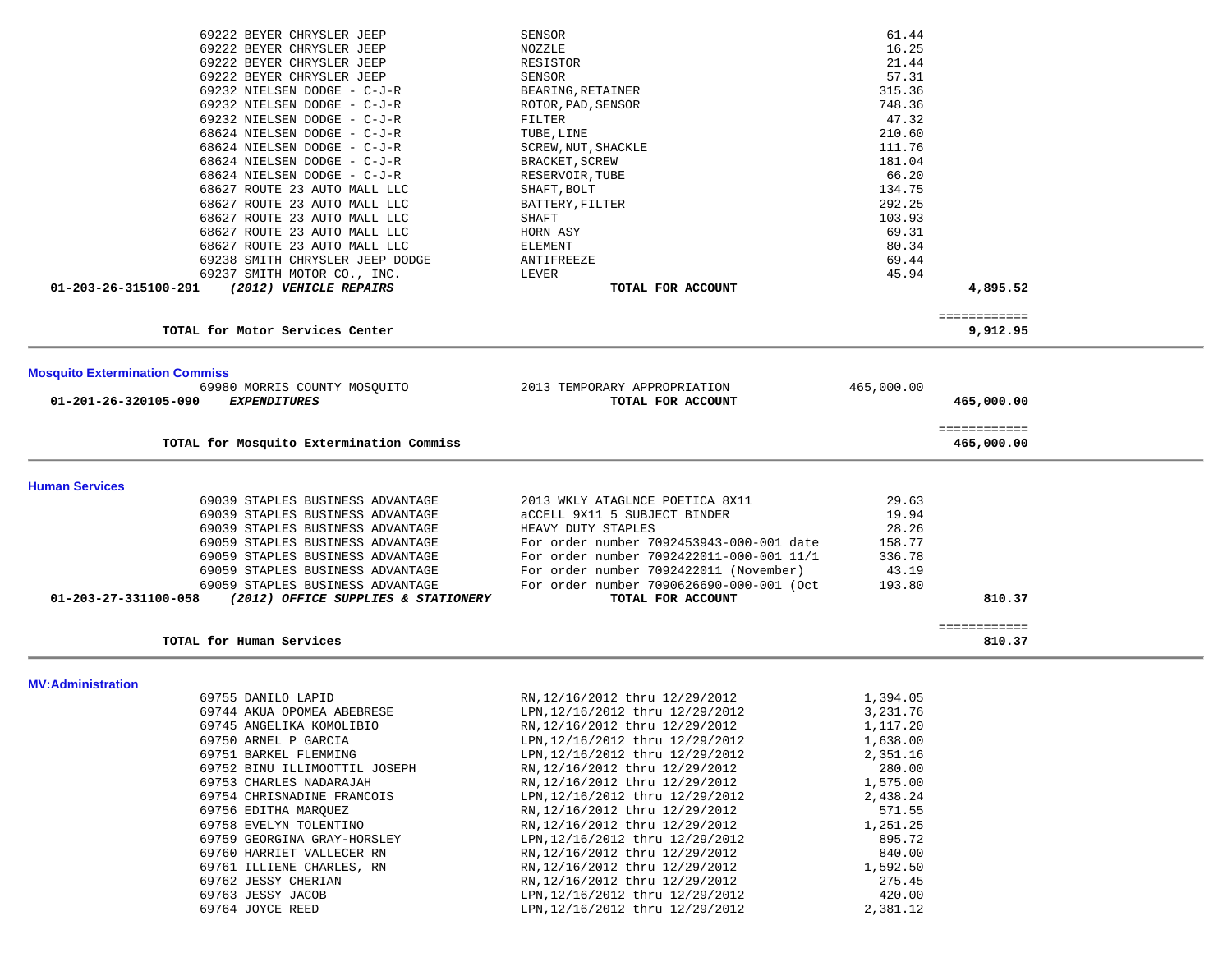| 69222 BEYER CHRYSLER JEEP                                            | <b>SENSOR</b>                                                  | 61.44           |              |  |
|----------------------------------------------------------------------|----------------------------------------------------------------|-----------------|--------------|--|
| 69222 BEYER CHRYSLER JEEP                                            | NOZZLE                                                         | 16.25           |              |  |
| 69222 BEYER CHRYSLER JEEP                                            | RESISTOR                                                       | 21.44           |              |  |
| 69222 BEYER CHRYSLER JEEP                                            | SENSOR                                                         | 57.31           |              |  |
| 69232 NIELSEN DODGE - C-J-R                                          | BEARING, RETAINER                                              | 315.36          |              |  |
| 69232 NIELSEN DODGE - C-J-R                                          | ROTOR, PAD, SENSOR                                             | 748.36          |              |  |
| 69232 NIELSEN DODGE - C-J-R                                          | FILTER                                                         | 47.32           |              |  |
| 68624 NIELSEN DODGE - C-J-R                                          | TUBE, LINE                                                     | 210.60          |              |  |
| 68624 NIELSEN DODGE - C-J-R                                          | SCREW, NUT, SHACKLE                                            | 111.76          |              |  |
| 68624 NIELSEN DODGE - C-J-R                                          | BRACKET, SCREW                                                 | 181.04          |              |  |
| 68624 NIELSEN DODGE - C-J-R                                          | RESERVOIR, TUBE                                                | 66.20           |              |  |
| 68627 ROUTE 23 AUTO MALL LLC                                         | SHAFT, BOLT                                                    | 134.75          |              |  |
| 68627 ROUTE 23 AUTO MALL LLC                                         | BATTERY, FILTER                                                | 292.25          |              |  |
| 68627 ROUTE 23 AUTO MALL LLC                                         | SHAFT                                                          | 103.93          |              |  |
| 68627 ROUTE 23 AUTO MALL LLC                                         | HORN ASY                                                       | 69.31           |              |  |
| 68627 ROUTE 23 AUTO MALL LLC                                         | <b>ELEMENT</b>                                                 | 80.34           |              |  |
| 69238 SMITH CHRYSLER JEEP DODGE                                      | ANTIFREEZE                                                     | 69.44           |              |  |
| 69237 SMITH MOTOR CO., INC.                                          | LEVER                                                          | 45.94           |              |  |
| 01-203-26-315100-291<br>(2012) VEHICLE REPAIRS                       | TOTAL FOR ACCOUNT                                              |                 | 4,895.52     |  |
|                                                                      |                                                                |                 | ============ |  |
| TOTAL for Motor Services Center                                      |                                                                |                 | 9,912.95     |  |
|                                                                      |                                                                |                 |              |  |
| <b>Mosquito Extermination Commiss</b>                                |                                                                |                 |              |  |
| 69980 MORRIS COUNTY MOSQUITO                                         | 2013 TEMPORARY APPROPRIATION                                   | 465,000.00      |              |  |
| 01-201-26-320105-090<br><b>EXPENDITURES</b>                          | TOTAL FOR ACCOUNT                                              |                 | 465,000.00   |  |
|                                                                      |                                                                |                 |              |  |
|                                                                      |                                                                |                 | ============ |  |
| TOTAL for Mosquito Extermination Commiss                             |                                                                |                 | 465,000.00   |  |
|                                                                      |                                                                |                 |              |  |
| <b>Human Services</b>                                                |                                                                |                 |              |  |
| 69039 STAPLES BUSINESS ADVANTAGE                                     | 2013 WKLY ATAGLNCE POETICA 8X11                                | 29.63           |              |  |
| 69039 STAPLES BUSINESS ADVANTAGE                                     | aCCELL 9X11 5 SUBJECT BINDER                                   | 19.94           |              |  |
| 69039 STAPLES BUSINESS ADVANTAGE<br>69059 STAPLES BUSINESS ADVANTAGE | HEAVY DUTY STAPLES<br>For order number 7092453943-000-001 date | 28.26<br>158.77 |              |  |
| 69059 STAPLES BUSINESS ADVANTAGE                                     | For order number 7092422011-000-001 11/1                       | 336.78          |              |  |
| 69059 STAPLES BUSINESS ADVANTAGE                                     | For order number 7092422011 (November)                         | 43.19           |              |  |
| 69059 STAPLES BUSINESS ADVANTAGE                                     | For order number 7090626690-000-001 (Oct                       | 193.80          |              |  |
| (2012) OFFICE SUPPLIES & STATIONERY<br>01-203-27-331100-058          | TOTAL FOR ACCOUNT                                              |                 | 810.37       |  |
|                                                                      |                                                                |                 |              |  |
|                                                                      |                                                                |                 | ============ |  |
| TOTAL for Human Services                                             |                                                                |                 | 810.37       |  |
|                                                                      |                                                                |                 |              |  |
| MV:Administration<br>69755 DANILO LAPID                              | RN, 12/16/2012 thru 12/29/2012                                 | 1,394.05        |              |  |
| 69744 AKUA OPOMEA ABEBRESE                                           | LPN, 12/16/2012 thru 12/29/2012                                | 3,231.76        |              |  |
| 69745 ANGELIKA KOMOLIBIO                                             | RN, 12/16/2012 thru 12/29/2012                                 | 1,117.20        |              |  |
| 69750 ARNEL P GARCIA                                                 | LPN, 12/16/2012 thru 12/29/2012                                | 1,638.00        |              |  |
| 69751 BARKEL FLEMMING                                                | LPN, 12/16/2012 thru 12/29/2012                                | 2,351.16        |              |  |
| 69752 BINU ILLIMOOTTIL JOSEPH                                        | RN, 12/16/2012 thru 12/29/2012                                 | 280.00          |              |  |
| 69753 CHARLES NADARAJAH                                              | RN, 12/16/2012 thru 12/29/2012                                 | 1,575.00        |              |  |
| 69754 CHRISNADINE FRANCOIS                                           | LPN, 12/16/2012 thru 12/29/2012                                | 2,438.24        |              |  |
| 69756 EDITHA MARQUEZ                                                 | RN, 12/16/2012 thru 12/29/2012                                 | 571.55          |              |  |
| 69758 EVELYN TOLENTINO                                               | RN, 12/16/2012 thru 12/29/2012                                 | 1,251.25        |              |  |
| 69759 GEORGINA GRAY-HORSLEY                                          | LPN, 12/16/2012 thru 12/29/2012                                | 895.72          |              |  |
| 69760 HARRIET VALLECER RN                                            | RN, 12/16/2012 thru 12/29/2012                                 | 840.00          |              |  |
| 69761 ILLIENE CHARLES, RN                                            | RN, 12/16/2012 thru 12/29/2012                                 | 1,592.50        |              |  |
| 69762 JESSY CHERIAN                                                  | RN, 12/16/2012 thru 12/29/2012                                 | 275.45          |              |  |
| 69763 JESSY JACOB                                                    | LPN, 12/16/2012 thru 12/29/2012                                | 420.00          |              |  |
| 69764 JOYCE REED                                                     | LPN, 12/16/2012 thru 12/29/2012                                | 2,381.12        |              |  |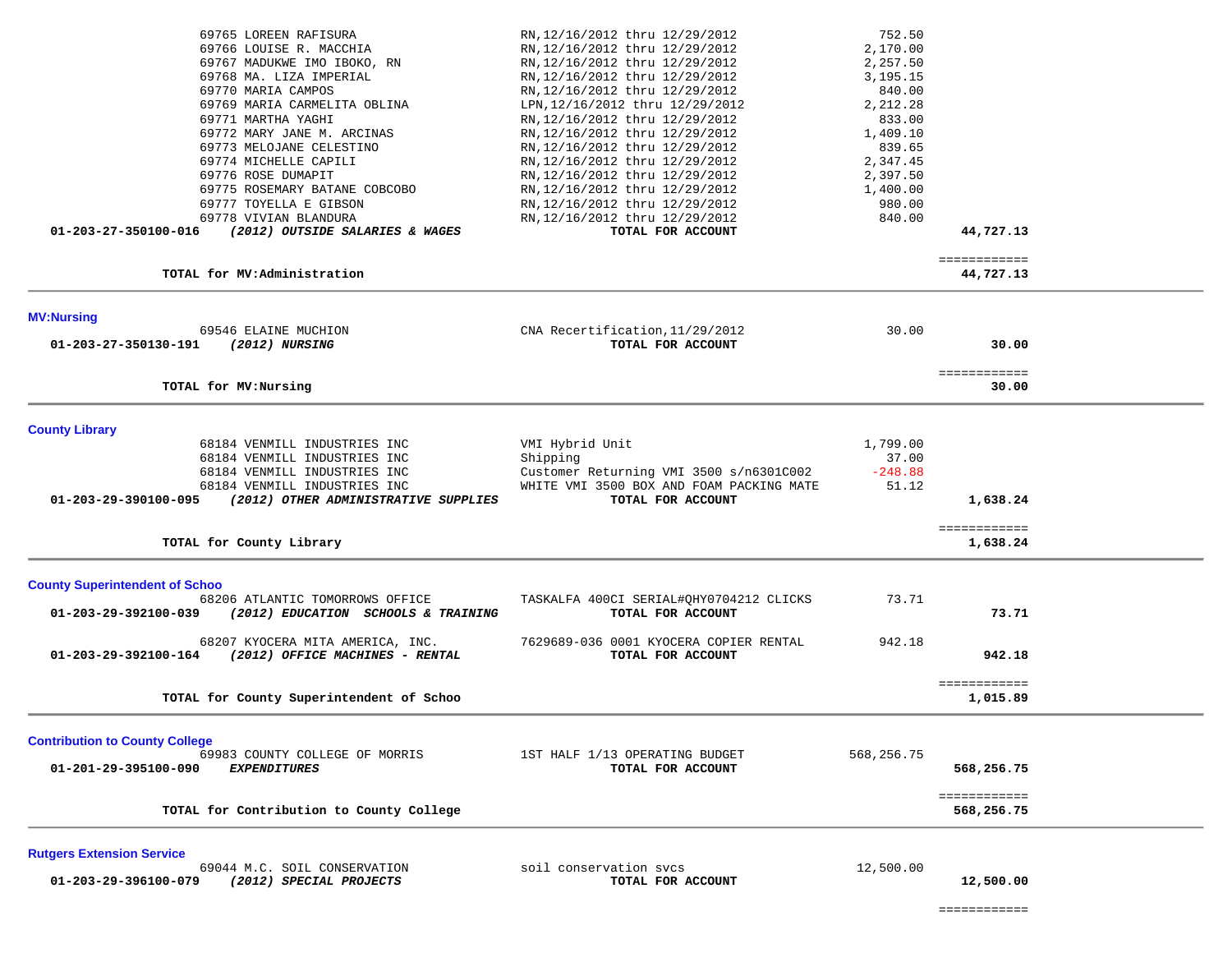| 69765 LOREEN RAFISURA<br>69766 LOUISE R. MACCHIA<br>69767 MADUKWE IMO IBOKO, RN<br>69768 MA. LIZA IMPERIAL<br>69770 MARIA CAMPOS<br>69769 MARIA CARMELITA OBLINA<br>69771 MARTHA YAGHI<br>69772 MARY JANE M. ARCINAS<br>69773 MELOJANE CELESTINO<br>69774 MICHELLE CAPILI<br>69776 ROSE DUMAPIT<br>69775 ROSEMARY BATANE COBCOBO<br>69777 TOYELLA E GIBSON<br>69778 VIVIAN BLANDURA | RN, 12/16/2012 thru 12/29/2012<br>RN, 12/16/2012 thru 12/29/2012<br>RN, 12/16/2012 thru 12/29/2012<br>RN, 12/16/2012 thru 12/29/2012<br>RN, 12/16/2012 thru 12/29/2012<br>LPN, 12/16/2012 thru 12/29/2012<br>RN, 12/16/2012 thru 12/29/2012<br>RN, 12/16/2012 thru 12/29/2012<br>RN, 12/16/2012 thru 12/29/2012<br>RN, 12/16/2012 thru 12/29/2012<br>RN, 12/16/2012 thru 12/29/2012<br>RN, 12/16/2012 thru 12/29/2012<br>RN, 12/16/2012 thru 12/29/2012<br>RN, 12/16/2012 thru 12/29/2012 | 752.50<br>2,170.00<br>2,257.50<br>3,195.15<br>840.00<br>2,212.28<br>833.00<br>1,409.10<br>839.65<br>2,347.45<br>2,397.50<br>1,400.00<br>980.00<br>840.00 |                                          |  |
|-------------------------------------------------------------------------------------------------------------------------------------------------------------------------------------------------------------------------------------------------------------------------------------------------------------------------------------------------------------------------------------|-------------------------------------------------------------------------------------------------------------------------------------------------------------------------------------------------------------------------------------------------------------------------------------------------------------------------------------------------------------------------------------------------------------------------------------------------------------------------------------------|----------------------------------------------------------------------------------------------------------------------------------------------------------|------------------------------------------|--|
| (2012) OUTSIDE SALARIES & WAGES<br>01-203-27-350100-016<br>TOTAL for MV:Administration                                                                                                                                                                                                                                                                                              | TOTAL FOR ACCOUNT                                                                                                                                                                                                                                                                                                                                                                                                                                                                         |                                                                                                                                                          | 44,727.13<br>============                |  |
|                                                                                                                                                                                                                                                                                                                                                                                     |                                                                                                                                                                                                                                                                                                                                                                                                                                                                                           |                                                                                                                                                          | 44,727.13                                |  |
| <b>MV:Nursing</b><br>69546 ELAINE MUCHION<br>01-203-27-350130-191<br>(2012) NURSING                                                                                                                                                                                                                                                                                                 | CNA Recertification, 11/29/2012<br>TOTAL FOR ACCOUNT                                                                                                                                                                                                                                                                                                                                                                                                                                      | 30.00                                                                                                                                                    | 30.00                                    |  |
| TOTAL for MV:Nursing                                                                                                                                                                                                                                                                                                                                                                |                                                                                                                                                                                                                                                                                                                                                                                                                                                                                           |                                                                                                                                                          | ============<br>30.00                    |  |
| <b>County Library</b><br>68184 VENMILL INDUSTRIES INC<br>68184 VENMILL INDUSTRIES INC<br>68184 VENMILL INDUSTRIES INC<br>68184 VENMILL INDUSTRIES INC<br>01-203-29-390100-095<br>(2012) OTHER ADMINISTRATIVE SUPPLIES<br>TOTAL for County Library                                                                                                                                   | VMI Hybrid Unit<br>Shipping<br>Customer Returning VMI 3500 s/n6301C002<br>WHITE VMI 3500 BOX AND FOAM PACKING MATE<br>TOTAL FOR ACCOUNT                                                                                                                                                                                                                                                                                                                                                   | 1,799.00<br>37.00<br>$-248.88$<br>51.12                                                                                                                  | 1,638.24<br>============<br>1,638.24     |  |
|                                                                                                                                                                                                                                                                                                                                                                                     |                                                                                                                                                                                                                                                                                                                                                                                                                                                                                           |                                                                                                                                                          |                                          |  |
| <b>County Superintendent of Schoo</b><br>68206 ATLANTIC TOMORROWS OFFICE<br>01-203-29-392100-039<br>(2012) EDUCATION SCHOOLS & TRAINING<br>68207 KYOCERA MITA AMERICA, INC.                                                                                                                                                                                                         | TASKALFA 400CI SERIAL#QHY0704212 CLICKS<br>TOTAL FOR ACCOUNT<br>7629689-036 0001 KYOCERA COPIER RENTAL                                                                                                                                                                                                                                                                                                                                                                                    | 73.71<br>942.18                                                                                                                                          | 73.71                                    |  |
| (2012) OFFICE MACHINES - RENTAL<br>01-203-29-392100-164                                                                                                                                                                                                                                                                                                                             | TOTAL FOR ACCOUNT                                                                                                                                                                                                                                                                                                                                                                                                                                                                         |                                                                                                                                                          | 942.18                                   |  |
| TOTAL for County Superintendent of Schoo                                                                                                                                                                                                                                                                                                                                            |                                                                                                                                                                                                                                                                                                                                                                                                                                                                                           |                                                                                                                                                          | ============<br>1,015.89                 |  |
| <b>Contribution to County College</b><br>69983 COUNTY COLLEGE OF MORRIS<br>01-201-29-395100-090<br><b>EXPENDITURES</b><br>TOTAL for Contribution to County College                                                                                                                                                                                                                  | 1ST HALF 1/13 OPERATING BUDGET<br>TOTAL FOR ACCOUNT                                                                                                                                                                                                                                                                                                                                                                                                                                       | 568,256.75                                                                                                                                               | 568,256.75<br>============<br>568,256.75 |  |
|                                                                                                                                                                                                                                                                                                                                                                                     |                                                                                                                                                                                                                                                                                                                                                                                                                                                                                           |                                                                                                                                                          |                                          |  |
| <b>Rutgers Extension Service</b><br>69044 M.C. SOIL CONSERVATION<br>01-203-29-396100-079<br>(2012) SPECIAL PROJECTS                                                                                                                                                                                                                                                                 | soil conservation svcs<br>TOTAL FOR ACCOUNT                                                                                                                                                                                                                                                                                                                                                                                                                                               | 12,500.00                                                                                                                                                | 12,500.00                                |  |

============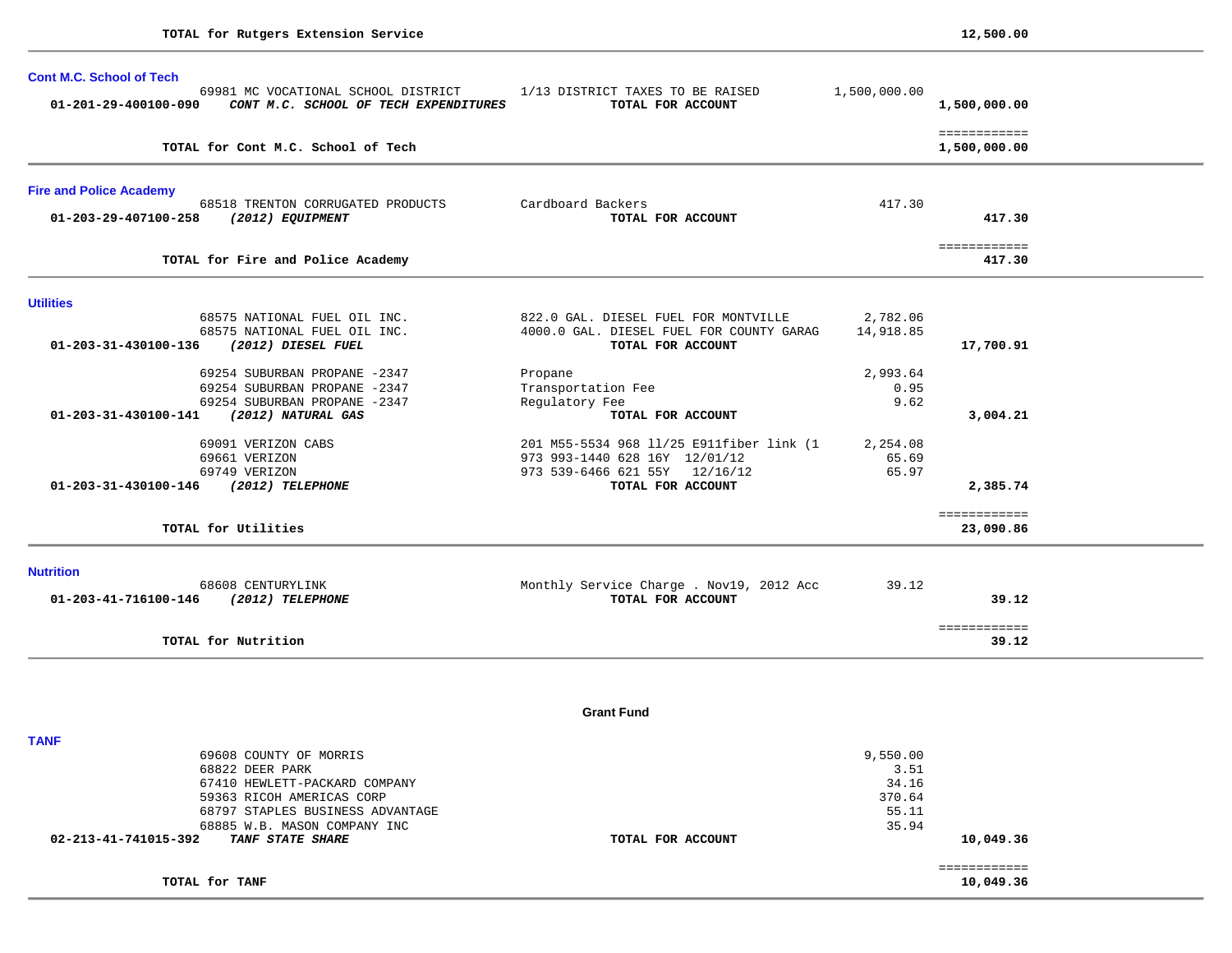| <b>Cont M.C. School of Tech</b><br>69981 MC VOCATIONAL SCHOOL DISTRICT<br>01-201-29-400100-090<br>CONT M.C. SCHOOL OF TECH EXPENDITURES | 1/13 DISTRICT TAXES TO BE RAISED<br>TOTAL FOR ACCOUNT         | 1,500,000.00 | 1,500,000.00                 |
|-----------------------------------------------------------------------------------------------------------------------------------------|---------------------------------------------------------------|--------------|------------------------------|
| TOTAL for Cont M.C. School of Tech                                                                                                      |                                                               |              | ============<br>1,500,000.00 |
| <b>Fire and Police Academy</b>                                                                                                          |                                                               |              |                              |
| 68518 TRENTON CORRUGATED PRODUCTS<br>01-203-29-407100-258<br>(2012) EQUIPMENT                                                           | Cardboard Backers<br>TOTAL FOR ACCOUNT                        | 417.30       | 417.30                       |
| TOTAL for Fire and Police Academy                                                                                                       |                                                               |              | ============<br>417.30       |
| <b>Utilities</b>                                                                                                                        |                                                               |              |                              |
| 68575 NATIONAL FUEL OIL INC.                                                                                                            | 822.0 GAL. DIESEL FUEL FOR MONTVILLE                          | 2,782.06     |                              |
| 68575 NATIONAL FUEL OIL INC.<br>01-203-31-430100-136<br>(2012) DIESEL FUEL                                                              | 4000.0 GAL. DIESEL FUEL FOR COUNTY GARAG<br>TOTAL FOR ACCOUNT | 14,918.85    | 17,700.91                    |
| 69254 SUBURBAN PROPANE -2347                                                                                                            | Propane                                                       | 2,993.64     |                              |
| 69254 SUBURBAN PROPANE -2347                                                                                                            | Transportation Fee                                            | 0.95         |                              |
| 69254 SUBURBAN PROPANE -2347                                                                                                            | Regulatory Fee                                                | 9.62         |                              |
| 01-203-31-430100-141<br>(2012) NATURAL GAS                                                                                              | TOTAL FOR ACCOUNT                                             |              | 3,004.21                     |
| 69091 VERIZON CABS                                                                                                                      | 201 M55-5534 968 11/25 E911fiber link (1                      | 2,254.08     |                              |
| 69661 VERIZON                                                                                                                           | 973 993-1440 628 16Y 12/01/12                                 | 65.69        |                              |
| 69749 VERIZON                                                                                                                           | 973 539-6466 621 55Y 12/16/12                                 | 65.97        |                              |
| (2012) TELEPHONE<br>01-203-31-430100-146                                                                                                | TOTAL FOR ACCOUNT                                             |              | 2,385.74                     |
| TOTAL for Utilities                                                                                                                     |                                                               |              | ============<br>23,090.86    |
| <b>Nutrition</b>                                                                                                                        |                                                               |              |                              |
| 68608 CENTURYLINK<br>01-203-41-716100-146<br>(2012) TELEPHONE                                                                           | Monthly Service Charge . Nov19, 2012 Acc<br>TOTAL FOR ACCOUNT | 39.12        | 39.12                        |
| TOTAL for Nutrition                                                                                                                     |                                                               |              | ============<br>39.12        |

**Grant Fund** 

| <b>TANF</b>                                     |                   |          |           |
|-------------------------------------------------|-------------------|----------|-----------|
| 69608 COUNTY OF MORRIS                          |                   | 9,550.00 |           |
| 68822 DEER PARK                                 |                   | 3.51     |           |
| 67410 HEWLETT-PACKARD COMPANY                   |                   | 34.16    |           |
| 59363 RICOH AMERICAS CORP                       |                   | 370.64   |           |
| 68797 STAPLES BUSINESS ADVANTAGE                |                   | 55.11    |           |
| 68885 W.B. MASON COMPANY INC                    |                   | 35.94    |           |
| 02-213-41-741015-392<br><i>TANF STATE SHARE</i> | TOTAL FOR ACCOUNT |          | 10,049.36 |
|                                                 |                   |          |           |
| TOTAL for TANF                                  |                   |          | 10,049.36 |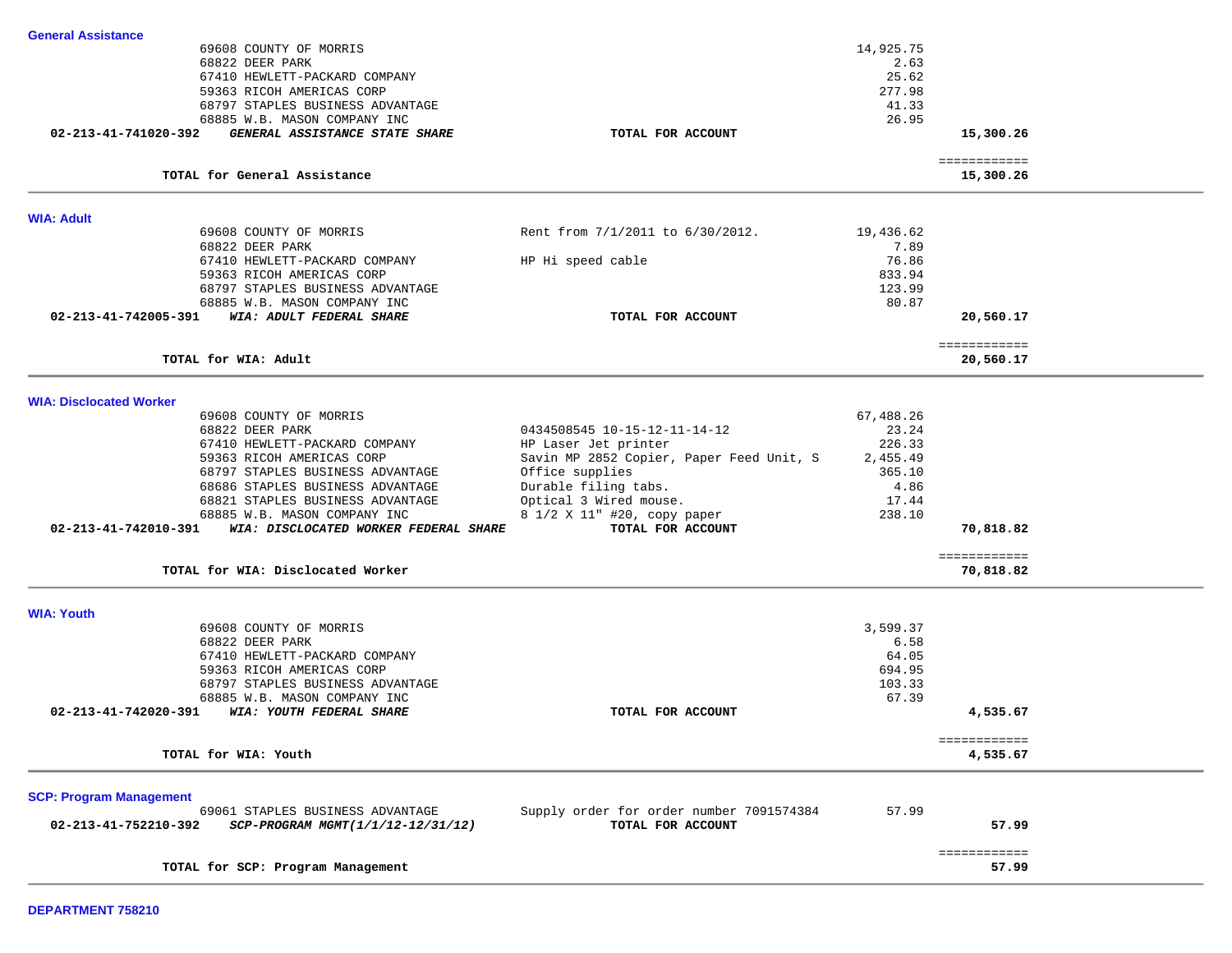| <b>General Assistance</b>                                     |                                          |           |                           |  |
|---------------------------------------------------------------|------------------------------------------|-----------|---------------------------|--|
| 69608 COUNTY OF MORRIS                                        |                                          | 14,925.75 |                           |  |
| 68822 DEER PARK                                               |                                          | 2.63      |                           |  |
| 67410 HEWLETT-PACKARD COMPANY                                 |                                          | 25.62     |                           |  |
| 59363 RICOH AMERICAS CORP                                     |                                          | 277.98    |                           |  |
| 68797 STAPLES BUSINESS ADVANTAGE                              |                                          | 41.33     |                           |  |
| 68885 W.B. MASON COMPANY INC                                  |                                          | 26.95     |                           |  |
| 02-213-41-741020-392<br>GENERAL ASSISTANCE STATE SHARE        | TOTAL FOR ACCOUNT                        |           | 15,300.26                 |  |
|                                                               |                                          |           |                           |  |
| TOTAL for General Assistance                                  |                                          |           | ============<br>15,300.26 |  |
|                                                               |                                          |           |                           |  |
| <b>WIA: Adult</b>                                             |                                          |           |                           |  |
| 69608 COUNTY OF MORRIS                                        | Rent from 7/1/2011 to 6/30/2012.         | 19,436.62 |                           |  |
| 68822 DEER PARK                                               |                                          | 7.89      |                           |  |
| 67410 HEWLETT-PACKARD COMPANY                                 | HP Hi speed cable                        | 76.86     |                           |  |
| 59363 RICOH AMERICAS CORP                                     |                                          | 833.94    |                           |  |
| 68797 STAPLES BUSINESS ADVANTAGE                              |                                          | 123.99    |                           |  |
| 68885 W.B. MASON COMPANY INC                                  |                                          | 80.87     |                           |  |
| WIA: ADULT FEDERAL SHARE<br>02-213-41-742005-391              | TOTAL FOR ACCOUNT                        |           |                           |  |
|                                                               |                                          |           | 20,560.17                 |  |
|                                                               |                                          |           | ============              |  |
| TOTAL for WIA: Adult                                          |                                          |           | 20,560.17                 |  |
|                                                               |                                          |           |                           |  |
| <b>WIA: Disclocated Worker</b>                                |                                          |           |                           |  |
| 69608 COUNTY OF MORRIS                                        |                                          | 67,488.26 |                           |  |
| 68822 DEER PARK                                               | 0434508545 10-15-12-11-14-12             | 23.24     |                           |  |
| 67410 HEWLETT-PACKARD COMPANY                                 | HP Laser Jet printer                     | 226.33    |                           |  |
| 59363 RICOH AMERICAS CORP                                     | Savin MP 2852 Copier, Paper Feed Unit, S | 2,455.49  |                           |  |
| 68797 STAPLES BUSINESS ADVANTAGE                              | Office supplies                          | 365.10    |                           |  |
| 68686 STAPLES BUSINESS ADVANTAGE                              | Durable filing tabs.                     | 4.86      |                           |  |
| 68821 STAPLES BUSINESS ADVANTAGE                              | Optical 3 Wired mouse.                   | 17.44     |                           |  |
| 68885 W.B. MASON COMPANY INC                                  | 8 1/2 X 11" #20, copy paper              | 238.10    |                           |  |
| 02-213-41-742010-391<br>WIA: DISCLOCATED WORKER FEDERAL SHARE | TOTAL FOR ACCOUNT                        |           | 70,818.82                 |  |
|                                                               |                                          |           |                           |  |
| TOTAL for WIA: Disclocated Worker                             |                                          |           | ============<br>70,818.82 |  |
|                                                               |                                          |           |                           |  |
| <b>WIA: Youth</b>                                             |                                          |           |                           |  |
| 69608 COUNTY OF MORRIS                                        |                                          | 3,599.37  |                           |  |
| 68822 DEER PARK                                               |                                          | 6.58      |                           |  |
| 67410 HEWLETT-PACKARD COMPANY                                 |                                          | 64.05     |                           |  |
| 59363 RICOH AMERICAS CORP                                     |                                          | 694.95    |                           |  |
| 68797 STAPLES BUSINESS ADVANTAGE                              |                                          | 103.33    |                           |  |
| 68885 W.B. MASON COMPANY INC                                  |                                          | 67.39     |                           |  |
| 02-213-41-742020-391<br>WIA: YOUTH FEDERAL SHARE              | TOTAL FOR ACCOUNT                        |           | 4,535.67                  |  |
|                                                               |                                          |           |                           |  |
|                                                               |                                          |           | ============              |  |
| TOTAL for WIA: Youth                                          |                                          |           | 4,535.67                  |  |
|                                                               |                                          |           |                           |  |
| <b>SCP: Program Management</b>                                |                                          |           |                           |  |
| 69061 STAPLES BUSINESS ADVANTAGE                              | Supply order for order number 7091574384 | 57.99     |                           |  |
| 02-213-41-752210-392<br>SCP-PROGRAM MGMT(1/1/12-12/31/12)     | TOTAL FOR ACCOUNT                        |           | 57.99                     |  |
|                                                               |                                          |           | ============              |  |
| TOTAL for SCP: Program Management                             |                                          |           | 57.99                     |  |

-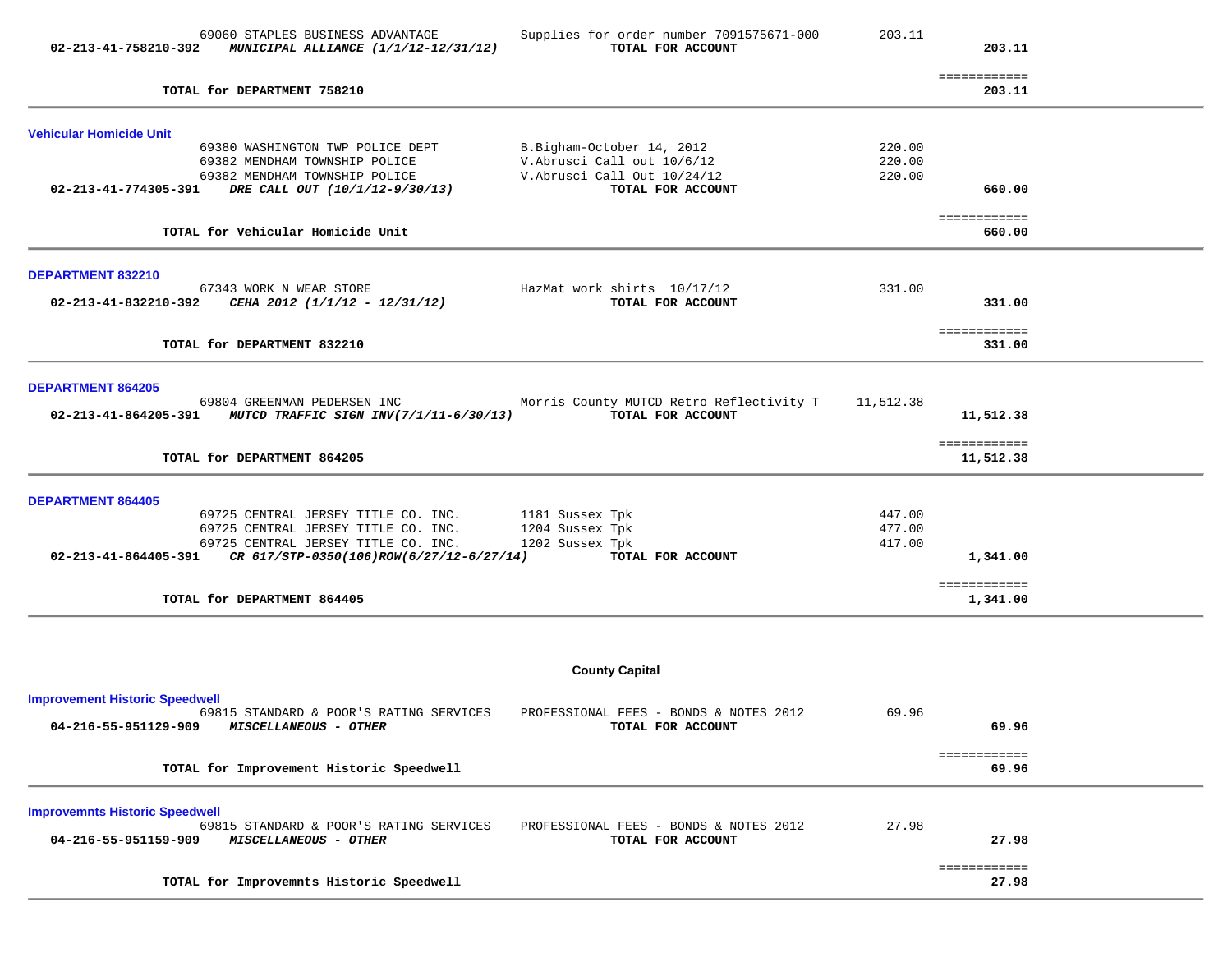| ============<br>TOTAL for DEPARTMENT 758210<br>203.11<br><b>Vehicular Homicide Unit</b><br>69380 WASHINGTON TWP POLICE DEPT<br>B.Bigham-October 14, 2012<br>220.00<br>V.Abrusci Call out 10/6/12<br>220.00<br>69382 MENDHAM TOWNSHIP POLICE<br>V.Abrusci Call Out 10/24/12<br>220.00<br>69382 MENDHAM TOWNSHIP POLICE<br>02-213-41-774305-391 DRE CALL OUT (10/1/12-9/30/13)<br>TOTAL FOR ACCOUNT<br>660.00<br>============<br>TOTAL for Vehicular Homicide Unit<br>660.00<br>DEPARTMENT 832210<br>331.00<br>67343 WORK N WEAR STORE<br>HazMat work shirts 10/17/12<br>02-213-41-832210-392 CEHA 2012 (1/1/12 - 12/31/12)<br>TOTAL FOR ACCOUNT<br>331.00<br>============<br>TOTAL for DEPARTMENT 832210<br>331.00<br><b>DEPARTMENT 864205</b><br>Morris County MUTCD Retro Reflectivity T 11,512.38<br>69804 GREENMAN PEDERSEN INC<br>TOTAL FOR ACCOUNT<br>02-213-41-864205-391 MUTCD TRAFFIC SIGN INV(7/1/11-6/30/13)<br>11,512.38<br>============<br>TOTAL for DEPARTMENT 864205<br>11,512.38<br><b>DEPARTMENT 864405</b><br>$69725 \text{ CENTRAL JERSEY TITLE CO. INC.} \qquad 1181 \text{ Sussex Tpk} \\ 69725 \text{ CENTRAL JERSEY TITLE CO. INC.} \qquad 1204 \text{ Sussex Tpk}$<br>447.00<br>477.00<br>1202 Sussex Tpk<br>69725 CENTRAL JERSEY TITLE CO. INC.<br>417.00<br>02-213-41-864405-391 CR $617/STP-0350(106)$ ROW $(6/27/12-6/27/14)$<br>TOTAL FOR ACCOUNT<br>1,341.00<br>============<br>TOTAL for DEPARTMENT 864405<br>1,341.00<br><b>County Capital</b><br><b>Improvement Historic Speedwell</b><br>69.96<br>69815 STANDARD & POOR'S RATING SERVICES<br>PROFESSIONAL FEES - BONDS & NOTES 2012<br>69.96<br>04-216-55-951129-909 MISCELLANEOUS - OTHER<br>TOTAL FOR ACCOUNT<br>============<br>TOTAL for Improvement Historic Speedwell<br>69.96<br><b>Improvemnts Historic Speedwell</b><br>27.98<br>69815 STANDARD & POOR'S RATING SERVICES<br>PROFESSIONAL FEES - BONDS & NOTES 2012<br>04-216-55-951159-909<br>MISCELLANEOUS - OTHER<br>TOTAL FOR ACCOUNT<br>27.98<br>============<br>TOTAL for Improvemnts Historic Speedwell<br>27.98 | 69060 STAPLES BUSINESS ADVANTAGE<br>02-213-41-758210-392 MUNICIPAL ALLIANCE (1/1/12-12/31/12) | Supplies for order number 7091575671-000<br>TOTAL FOR ACCOUNT | 203.11 | 203.11 |  |
|------------------------------------------------------------------------------------------------------------------------------------------------------------------------------------------------------------------------------------------------------------------------------------------------------------------------------------------------------------------------------------------------------------------------------------------------------------------------------------------------------------------------------------------------------------------------------------------------------------------------------------------------------------------------------------------------------------------------------------------------------------------------------------------------------------------------------------------------------------------------------------------------------------------------------------------------------------------------------------------------------------------------------------------------------------------------------------------------------------------------------------------------------------------------------------------------------------------------------------------------------------------------------------------------------------------------------------------------------------------------------------------------------------------------------------------------------------------------------------------------------------------------------------------------------------------------------------------------------------------------------------------------------------------------------------------------------------------------------------------------------------------------------------------------------------------------------------------------------------------------------------------------------------------------------------------------------------------------------------------------------------------------------------------------------------------|-----------------------------------------------------------------------------------------------|---------------------------------------------------------------|--------|--------|--|
|                                                                                                                                                                                                                                                                                                                                                                                                                                                                                                                                                                                                                                                                                                                                                                                                                                                                                                                                                                                                                                                                                                                                                                                                                                                                                                                                                                                                                                                                                                                                                                                                                                                                                                                                                                                                                                                                                                                                                                                                                                                                  |                                                                                               |                                                               |        |        |  |
|                                                                                                                                                                                                                                                                                                                                                                                                                                                                                                                                                                                                                                                                                                                                                                                                                                                                                                                                                                                                                                                                                                                                                                                                                                                                                                                                                                                                                                                                                                                                                                                                                                                                                                                                                                                                                                                                                                                                                                                                                                                                  |                                                                                               |                                                               |        |        |  |
|                                                                                                                                                                                                                                                                                                                                                                                                                                                                                                                                                                                                                                                                                                                                                                                                                                                                                                                                                                                                                                                                                                                                                                                                                                                                                                                                                                                                                                                                                                                                                                                                                                                                                                                                                                                                                                                                                                                                                                                                                                                                  |                                                                                               |                                                               |        |        |  |
|                                                                                                                                                                                                                                                                                                                                                                                                                                                                                                                                                                                                                                                                                                                                                                                                                                                                                                                                                                                                                                                                                                                                                                                                                                                                                                                                                                                                                                                                                                                                                                                                                                                                                                                                                                                                                                                                                                                                                                                                                                                                  |                                                                                               |                                                               |        |        |  |
|                                                                                                                                                                                                                                                                                                                                                                                                                                                                                                                                                                                                                                                                                                                                                                                                                                                                                                                                                                                                                                                                                                                                                                                                                                                                                                                                                                                                                                                                                                                                                                                                                                                                                                                                                                                                                                                                                                                                                                                                                                                                  |                                                                                               |                                                               |        |        |  |
|                                                                                                                                                                                                                                                                                                                                                                                                                                                                                                                                                                                                                                                                                                                                                                                                                                                                                                                                                                                                                                                                                                                                                                                                                                                                                                                                                                                                                                                                                                                                                                                                                                                                                                                                                                                                                                                                                                                                                                                                                                                                  |                                                                                               |                                                               |        |        |  |
|                                                                                                                                                                                                                                                                                                                                                                                                                                                                                                                                                                                                                                                                                                                                                                                                                                                                                                                                                                                                                                                                                                                                                                                                                                                                                                                                                                                                                                                                                                                                                                                                                                                                                                                                                                                                                                                                                                                                                                                                                                                                  |                                                                                               |                                                               |        |        |  |
|                                                                                                                                                                                                                                                                                                                                                                                                                                                                                                                                                                                                                                                                                                                                                                                                                                                                                                                                                                                                                                                                                                                                                                                                                                                                                                                                                                                                                                                                                                                                                                                                                                                                                                                                                                                                                                                                                                                                                                                                                                                                  |                                                                                               |                                                               |        |        |  |
|                                                                                                                                                                                                                                                                                                                                                                                                                                                                                                                                                                                                                                                                                                                                                                                                                                                                                                                                                                                                                                                                                                                                                                                                                                                                                                                                                                                                                                                                                                                                                                                                                                                                                                                                                                                                                                                                                                                                                                                                                                                                  |                                                                                               |                                                               |        |        |  |
|                                                                                                                                                                                                                                                                                                                                                                                                                                                                                                                                                                                                                                                                                                                                                                                                                                                                                                                                                                                                                                                                                                                                                                                                                                                                                                                                                                                                                                                                                                                                                                                                                                                                                                                                                                                                                                                                                                                                                                                                                                                                  |                                                                                               |                                                               |        |        |  |
|                                                                                                                                                                                                                                                                                                                                                                                                                                                                                                                                                                                                                                                                                                                                                                                                                                                                                                                                                                                                                                                                                                                                                                                                                                                                                                                                                                                                                                                                                                                                                                                                                                                                                                                                                                                                                                                                                                                                                                                                                                                                  |                                                                                               |                                                               |        |        |  |
|                                                                                                                                                                                                                                                                                                                                                                                                                                                                                                                                                                                                                                                                                                                                                                                                                                                                                                                                                                                                                                                                                                                                                                                                                                                                                                                                                                                                                                                                                                                                                                                                                                                                                                                                                                                                                                                                                                                                                                                                                                                                  |                                                                                               |                                                               |        |        |  |
|                                                                                                                                                                                                                                                                                                                                                                                                                                                                                                                                                                                                                                                                                                                                                                                                                                                                                                                                                                                                                                                                                                                                                                                                                                                                                                                                                                                                                                                                                                                                                                                                                                                                                                                                                                                                                                                                                                                                                                                                                                                                  |                                                                                               |                                                               |        |        |  |
|                                                                                                                                                                                                                                                                                                                                                                                                                                                                                                                                                                                                                                                                                                                                                                                                                                                                                                                                                                                                                                                                                                                                                                                                                                                                                                                                                                                                                                                                                                                                                                                                                                                                                                                                                                                                                                                                                                                                                                                                                                                                  |                                                                                               |                                                               |        |        |  |
|                                                                                                                                                                                                                                                                                                                                                                                                                                                                                                                                                                                                                                                                                                                                                                                                                                                                                                                                                                                                                                                                                                                                                                                                                                                                                                                                                                                                                                                                                                                                                                                                                                                                                                                                                                                                                                                                                                                                                                                                                                                                  |                                                                                               |                                                               |        |        |  |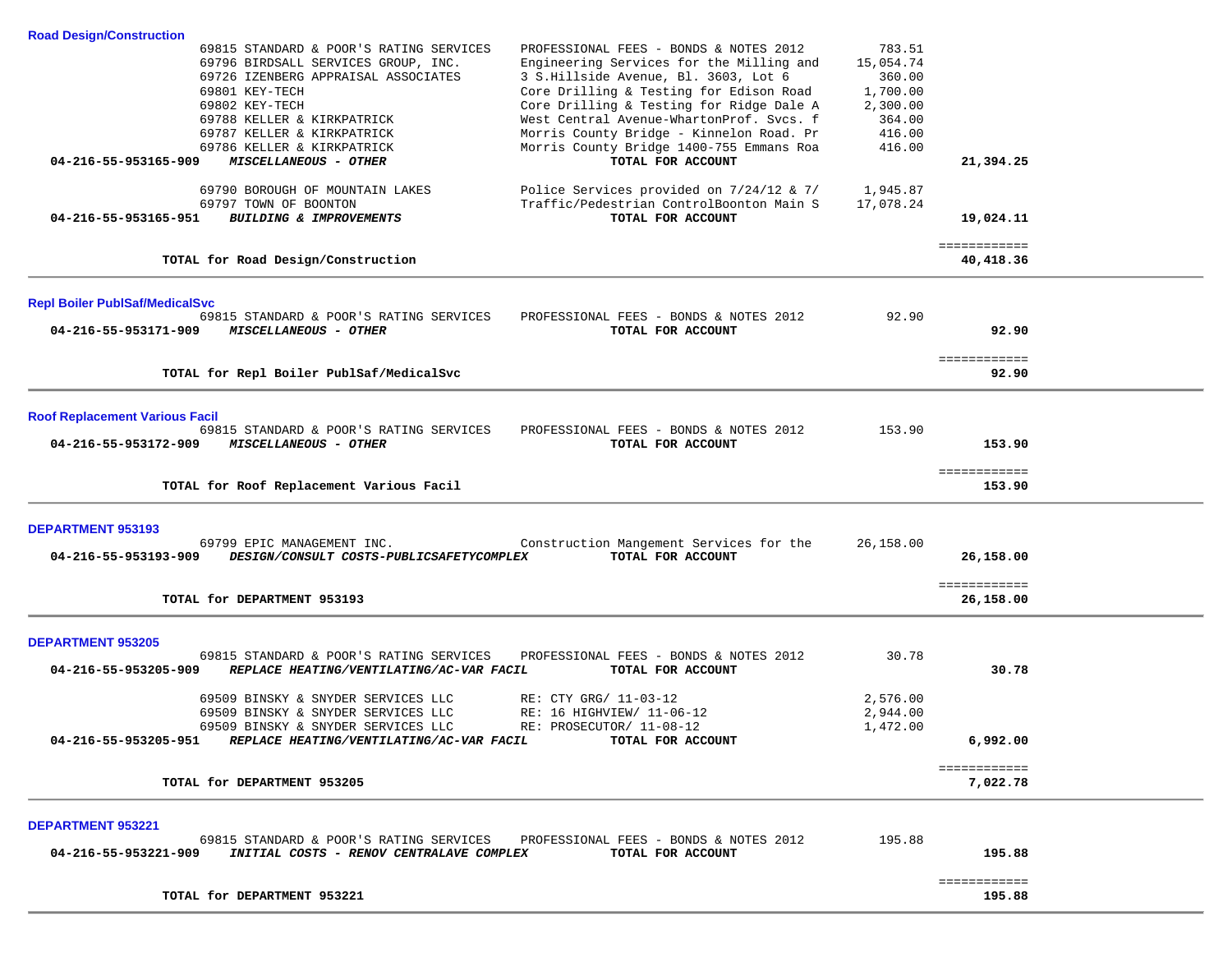| <b>Road Design/Construction</b>                                                                                                                                      |                           |
|----------------------------------------------------------------------------------------------------------------------------------------------------------------------|---------------------------|
| PROFESSIONAL FEES - BONDS & NOTES 2012<br>69815 STANDARD & POOR'S RATING SERVICES<br>69796 BIRDSALL SERVICES GROUP, INC.<br>Engineering Services for the Milling and | 783.51<br>15,054.74       |
| 69726 IZENBERG APPRAISAL ASSOCIATES<br>3 S.Hillside Avenue, Bl. 3603, Lot 6<br>Core Drilling & Testing for Edison Road<br>69801 KEY-TECH                             | 360.00<br>1,700.00        |
| 69802 KEY-TECH<br>Core Drilling & Testing for Ridge Dale A                                                                                                           | 2,300.00                  |
| West Central Avenue-WhartonProf. Svcs. f<br>69788 KELLER & KIRKPATRICK<br>Morris County Bridge - Kinnelon Road. Pr<br>69787 KELLER & KIRKPATRICK                     | 364.00<br>416.00          |
| 69786 KELLER & KIRKPATRICK<br>Morris County Bridge 1400-755 Emmans Roa                                                                                               | 416.00                    |
| TOTAL FOR ACCOUNT<br>04-216-55-953165-909<br>MISCELLANEOUS - OTHER                                                                                                   | 21,394.25                 |
| 69790 BOROUGH OF MOUNTAIN LAKES<br>Police Services provided on 7/24/12 & 7/                                                                                          | 1,945.87                  |
| Traffic/Pedestrian ControlBoonton Main S<br>69797 TOWN OF BOONTON<br>04-216-55-953165-951<br>BUILDING & IMPROVEMENTS<br>TOTAL FOR ACCOUNT                            | 17,078.24<br>19,024.11    |
|                                                                                                                                                                      |                           |
| TOTAL for Road Design/Construction                                                                                                                                   | ============<br>40,418.36 |
|                                                                                                                                                                      |                           |
| <b>Repl Boiler PublSaf/MedicalSvc</b><br>69815 STANDARD & POOR'S RATING SERVICES<br>PROFESSIONAL FEES - BONDS & NOTES 2012                                           | 92.90                     |
| 04-216-55-953171-909<br><b>MISCELLANEOUS - OTHER</b><br>TOTAL FOR ACCOUNT                                                                                            | 92.90                     |
|                                                                                                                                                                      | ============              |
| TOTAL for Repl Boiler PublSaf/MedicalSvc                                                                                                                             | 92.90                     |
| <b>Roof Replacement Various Facil</b>                                                                                                                                |                           |
| PROFESSIONAL FEES - BONDS & NOTES 2012<br>69815 STANDARD & POOR'S RATING SERVICES                                                                                    | 153.90                    |
| 04-216-55-953172-909<br><i>MISCELLANEOUS - OTHER</i><br>TOTAL FOR ACCOUNT                                                                                            | 153.90                    |
|                                                                                                                                                                      | ============              |
| TOTAL for Roof Replacement Various Facil                                                                                                                             | 153.90                    |
| <b>DEPARTMENT 953193</b>                                                                                                                                             |                           |
| Construction Mangement Services for the<br>69799 EPIC MANAGEMENT INC.<br>04-216-55-953193-909<br>TOTAL FOR ACCOUNT                                                   | 26,158.00                 |
| DESIGN/CONSULT COSTS-PUBLICSAFETYCOMPLEX                                                                                                                             | 26,158.00                 |
| TOTAL for DEPARTMENT 953193                                                                                                                                          | ============<br>26,158.00 |
|                                                                                                                                                                      |                           |
| <b>DEPARTMENT 953205</b>                                                                                                                                             |                           |
| 69815 STANDARD & POOR'S RATING SERVICES<br>PROFESSIONAL FEES - BONDS & NOTES 2012<br>04-216-55-953205-909                                                            | 30.78<br>30.78            |
| REPLACE HEATING/VENTILATING/AC-VAR FACIL<br>TOTAL FOR ACCOUNT                                                                                                        |                           |
| RE: CTY GRG/ 11-03-12<br>69509 BINSKY & SNYDER SERVICES LLC                                                                                                          | 2,576.00                  |
| 69509 BINSKY & SNYDER SERVICES LLC<br>RE: 16 HIGHVIEW/ 11-06-12<br>69509 BINSKY & SNYDER SERVICES LLC RE: PROSECUTOR/ 11-08-12                                       | 2,944.00<br>1,472.00      |
| 04-216-55-953205-951 REPLACE HEATING/VENTILATING/AC-VAR FACIL<br>TOTAL FOR ACCOUNT                                                                                   | 6,992.00                  |
|                                                                                                                                                                      | ============              |
| TOTAL for DEPARTMENT 953205                                                                                                                                          | 7,022.78                  |
| <b>DEPARTMENT 953221</b>                                                                                                                                             |                           |
| 69815 STANDARD & POOR'S RATING SERVICES PROFESSIONAL FEES - BONDS & NOTES 2012                                                                                       | 195.88                    |
| 04-216-55-953221-909 INITIAL COSTS - RENOV CENTRALAVE COMPLEX<br>TOTAL FOR ACCOUNT                                                                                   | 195.88                    |
| TOTAL for DEPARTMENT 953221                                                                                                                                          | ============<br>195.88    |
|                                                                                                                                                                      |                           |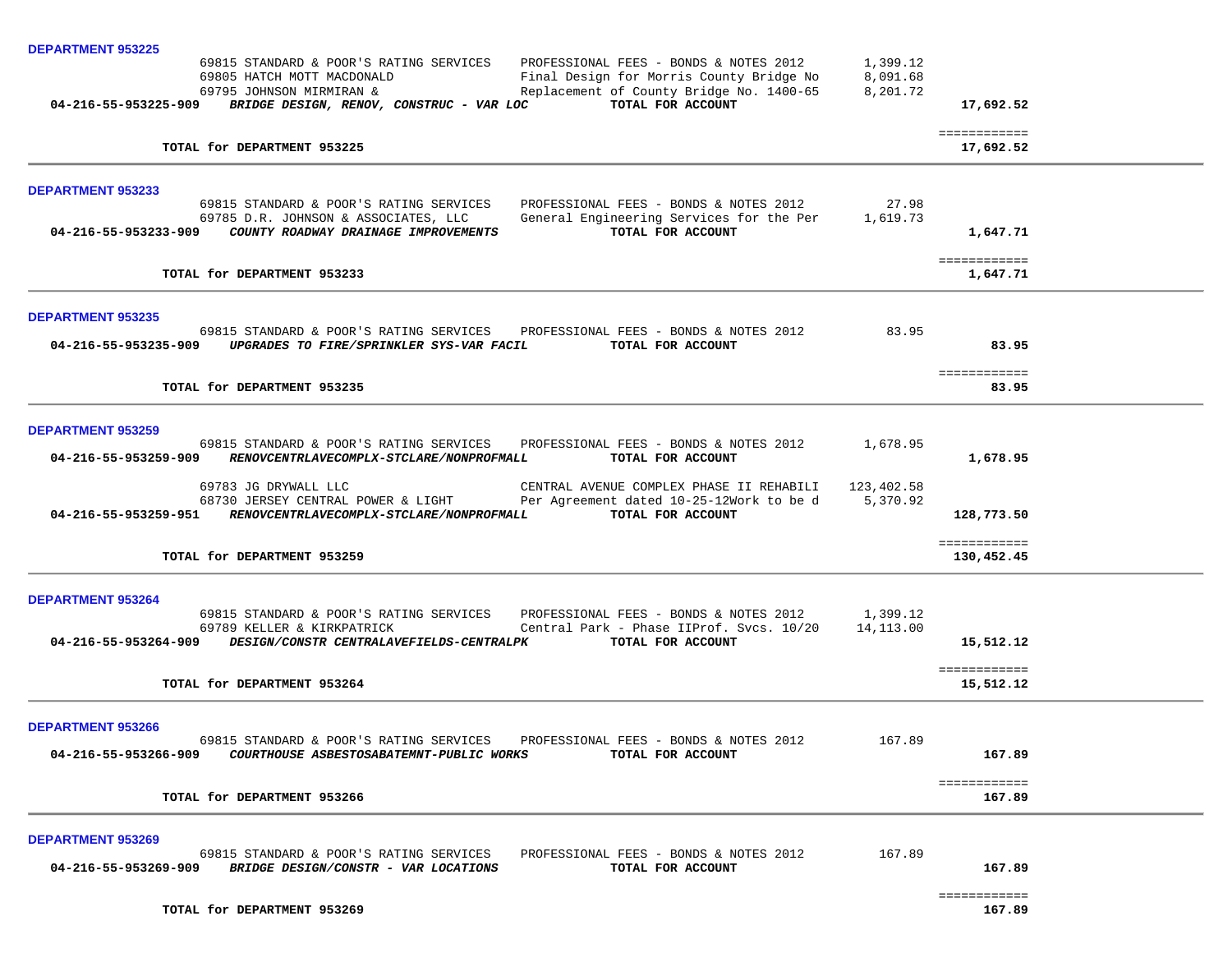| <b>DEPARTMENT 953225</b>                                                                                                                                                                                                                          |                                  |                            |  |
|---------------------------------------------------------------------------------------------------------------------------------------------------------------------------------------------------------------------------------------------------|----------------------------------|----------------------------|--|
| 69815 STANDARD & POOR'S RATING SERVICES<br>PROFESSIONAL FEES - BONDS & NOTES 2012<br>69805 HATCH MOTT MACDONALD<br>Final Design for Morris County Bridge No<br>Replacement of County Bridge No. 1400-65<br>69795 JOHNSON MIRMIRAN &               | 1,399.12<br>8,091.68<br>8,201.72 |                            |  |
| TOTAL FOR ACCOUNT<br>04-216-55-953225-909<br>BRIDGE DESIGN, RENOV, CONSTRUC - VAR LOC                                                                                                                                                             |                                  | 17,692.52                  |  |
| TOTAL for DEPARTMENT 953225                                                                                                                                                                                                                       |                                  | ============<br>17,692.52  |  |
| <b>DEPARTMENT 953233</b>                                                                                                                                                                                                                          |                                  |                            |  |
| 69815 STANDARD & POOR'S RATING SERVICES<br>PROFESSIONAL FEES - BONDS & NOTES 2012                                                                                                                                                                 | 27.98                            |                            |  |
| 69785 D.R. JOHNSON & ASSOCIATES, LLC<br>General Engineering Services for the Per<br>TOTAL FOR ACCOUNT<br>04-216-55-953233-909 COUNTY ROADWAY DRAINAGE IMPROVEMENTS                                                                                | 1,619.73                         | 1,647.71                   |  |
| TOTAL for DEPARTMENT 953233                                                                                                                                                                                                                       |                                  | ============<br>1,647.71   |  |
| <b>DEPARTMENT 953235</b>                                                                                                                                                                                                                          |                                  |                            |  |
| 69815 STANDARD & POOR'S RATING SERVICES PROFESSIONAL FEES - BONDS & NOTES 2012<br>04-216-55-953235-909 UPGRADES TO FIRE/SPRINKLER SYS-VAR FACIL<br>TOTAL FOR ACCOUNT                                                                              | 83.95                            | 83.95                      |  |
| TOTAL for DEPARTMENT 953235                                                                                                                                                                                                                       |                                  | ============<br>83.95      |  |
| <b>DEPARTMENT 953259</b>                                                                                                                                                                                                                          |                                  |                            |  |
| 69815 STANDARD & POOR'S RATING SERVICES PROFESSIONAL FEES - BONDS & NOTES 2012<br>04-216-55-953259-909<br>RENOVCENTRLAVECOMPLX-STCLARE/NONPROFMALL<br>TOTAL FOR ACCOUNT                                                                           | 1,678.95                         | 1,678.95                   |  |
| 69783 JG DRYWALL LLC<br>CENTRAL AVENUE COMPLEX PHASE II REHABILI<br>68730 JERSEY CENTRAL POWER & LIGHT<br>Per Agreement dated 10-25-12Work to be d<br>04-216-55-953259-951 RENOVCENTRLAVECOMPLX-STCLARE/NONPROFMALL<br>TOTAL FOR ACCOUNT          | 123,402.58<br>5,370.92           | 128,773.50                 |  |
| TOTAL for DEPARTMENT 953259                                                                                                                                                                                                                       |                                  | ============<br>130,452.45 |  |
| <b>DEPARTMENT 953264</b>                                                                                                                                                                                                                          |                                  |                            |  |
| 69815 STANDARD & POOR'S RATING SERVICES<br>PROFESSIONAL FEES - BONDS & NOTES 2012<br>69789 KELLER & KIRKPATRICK<br>Central Park - Phase IIProf. Svcs. 10/20<br>04-216-55-953264-909 DESIGN/CONSTR CENTRALAVEFIELDS-CENTRALPK<br>TOTAL FOR ACCOUNT | 1,399.12<br>14,113.00            | 15,512.12                  |  |
| TOTAL for DEPARTMENT 953264                                                                                                                                                                                                                       |                                  | ============<br>15,512.12  |  |
| <b>DEPARTMENT 953266</b>                                                                                                                                                                                                                          |                                  |                            |  |
| PROFESSIONAL FEES - BONDS & NOTES 2012<br>69815 STANDARD & POOR'S RATING SERVICES<br>04-216-55-953266-909    COURTHOUSE ASBESTOSABATEMNT-PUBLIC WORKS<br>TOTAL FOR ACCOUNT                                                                        | 167.89                           | 167.89                     |  |
| TOTAL for DEPARTMENT 953266                                                                                                                                                                                                                       |                                  | ============<br>167.89     |  |
| <b>DEPARTMENT 953269</b>                                                                                                                                                                                                                          |                                  |                            |  |
| 69815 STANDARD & POOR'S RATING SERVICES<br>PROFESSIONAL FEES - BONDS & NOTES 2012<br>04-216-55-953269-909 BRIDGE DESIGN/CONSTR - VAR LOCATIONS<br>TOTAL FOR ACCOUNT                                                                               | 167.89                           | 167.89                     |  |
|                                                                                                                                                                                                                                                   |                                  | ============               |  |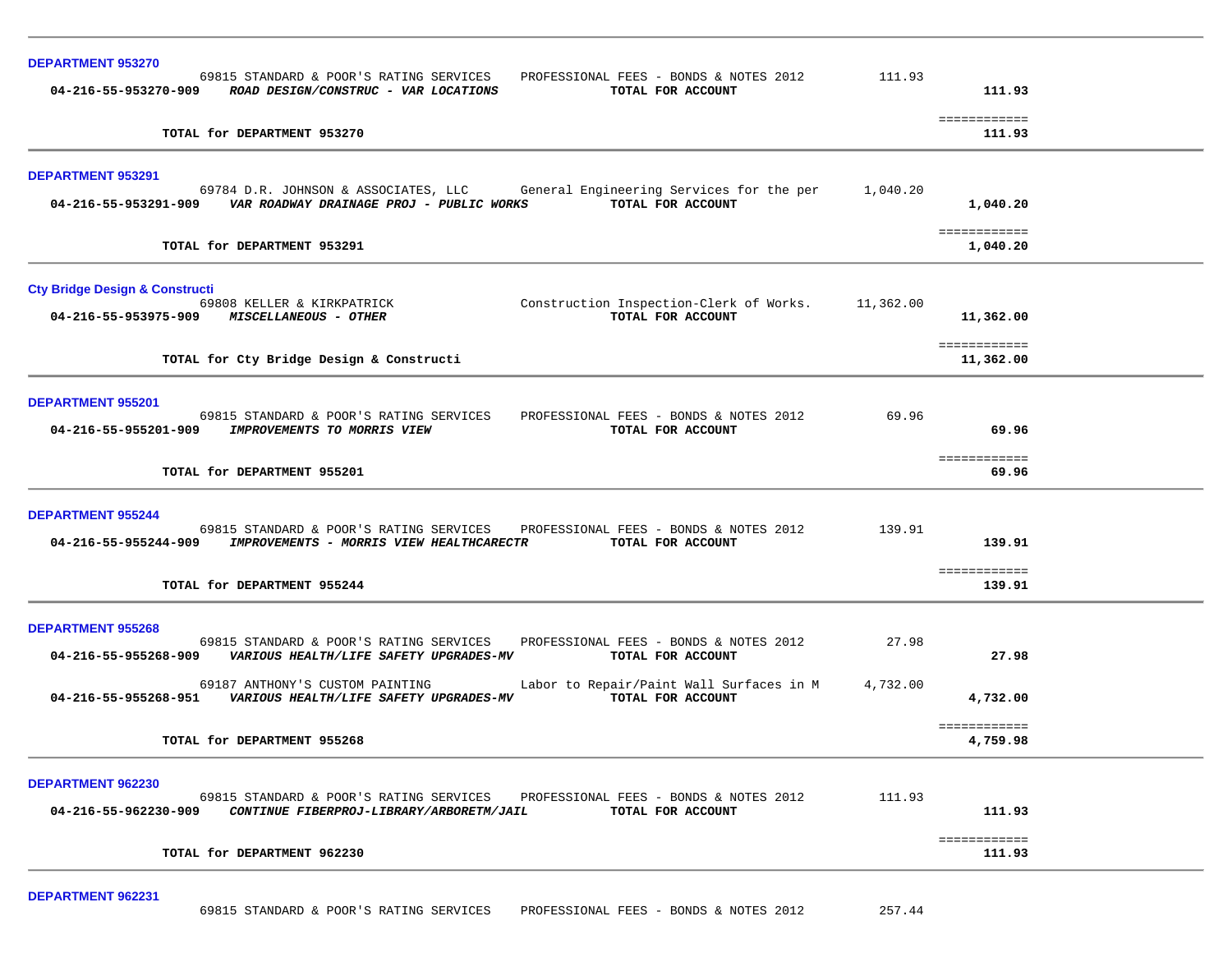| <b>DEPARTMENT 953270</b><br>69815 STANDARD & POOR'S RATING SERVICES<br>PROFESSIONAL FEES - BONDS & NOTES 2012<br>04-216-55-953270-909 ROAD DESIGN/CONSTRUC - VAR LOCATIONS<br>TOTAL FOR ACCOUNT                                                                                                                                                                            | 111.93            | 111.93                                 |  |
|----------------------------------------------------------------------------------------------------------------------------------------------------------------------------------------------------------------------------------------------------------------------------------------------------------------------------------------------------------------------------|-------------------|----------------------------------------|--|
| TOTAL for DEPARTMENT 953270                                                                                                                                                                                                                                                                                                                                                |                   | ============<br>111.93                 |  |
| <b>DEPARTMENT 953291</b><br>69784 D.R. JOHNSON & ASSOCIATES, LLC<br>General Engineering Services for the per<br>TOTAL FOR ACCOUNT<br>04-216-55-953291-909    VAR ROADWAY DRAINAGE PROJ - PUBLIC WORKS                                                                                                                                                                      | 1,040.20          | 1,040.20<br>============               |  |
| TOTAL for DEPARTMENT 953291                                                                                                                                                                                                                                                                                                                                                |                   | 1,040.20                               |  |
| <b>Cty Bridge Design &amp; Constructi</b><br>69808 KELLER & KIRKPATRICK<br>Construction Inspection-Clerk of Works.<br>04-216-55-953975-909 MISCELLANEOUS - OTHER<br>TOTAL FOR ACCOUNT<br>TOTAL for Cty Bridge Design & Constructi                                                                                                                                          | 11,362.00         | 11,362.00<br>============<br>11,362.00 |  |
| <b>DEPARTMENT 955201</b><br>69815 STANDARD & POOR'S RATING SERVICES<br>PROFESSIONAL FEES - BONDS & NOTES 2012<br>04-216-55-955201-909<br>IMPROVEMENTS TO MORRIS VIEW<br>TOTAL FOR ACCOUNT<br>TOTAL for DEPARTMENT 955201                                                                                                                                                   | 69.96             | 69.96<br>============<br>69.96         |  |
| <b>DEPARTMENT 955244</b><br>69815 STANDARD & POOR'S RATING SERVICES<br>PROFESSIONAL FEES - BONDS & NOTES 2012<br>04-216-55-955244-909<br><b>IMPROVEMENTS - MORRIS VIEW HEALTHCARECTR</b><br>TOTAL FOR ACCOUNT<br>TOTAL for DEPARTMENT 955244                                                                                                                               | 139.91            | 139.91<br>============<br>139.91       |  |
| <b>DEPARTMENT 955268</b><br>69815 STANDARD & POOR'S RATING SERVICES<br>PROFESSIONAL FEES - BONDS & NOTES 2012<br>VARIOUS HEALTH/LIFE SAFETY UPGRADES-MV<br>TOTAL FOR ACCOUNT<br>04-216-55-955268-909<br>Labor to Repair/Paint Wall Surfaces in M<br>69187 ANTHONY'S CUSTOM PAINTING<br>TOTAL FOR ACCOUNT<br>04-216-55-955268-951<br>VARIOUS HEALTH/LIFE SAFETY UPGRADES-MV | 27.98<br>4,732.00 | 27.98<br>4,732.00                      |  |
| TOTAL for DEPARTMENT 955268                                                                                                                                                                                                                                                                                                                                                |                   | ============<br>4,759.98               |  |
| <b>DEPARTMENT 962230</b><br>69815 STANDARD & POOR'S RATING SERVICES<br>PROFESSIONAL FEES - BONDS & NOTES 2012<br>04-216-55-962230-909<br>CONTINUE FIBERPROJ-LIBRARY/ARBORETM/JAIL<br>TOTAL FOR ACCOUNT                                                                                                                                                                     | 111.93            | 111.93                                 |  |
| TOTAL for DEPARTMENT 962230                                                                                                                                                                                                                                                                                                                                                |                   | ============<br>111.93                 |  |

**DEPARTMENT 962231**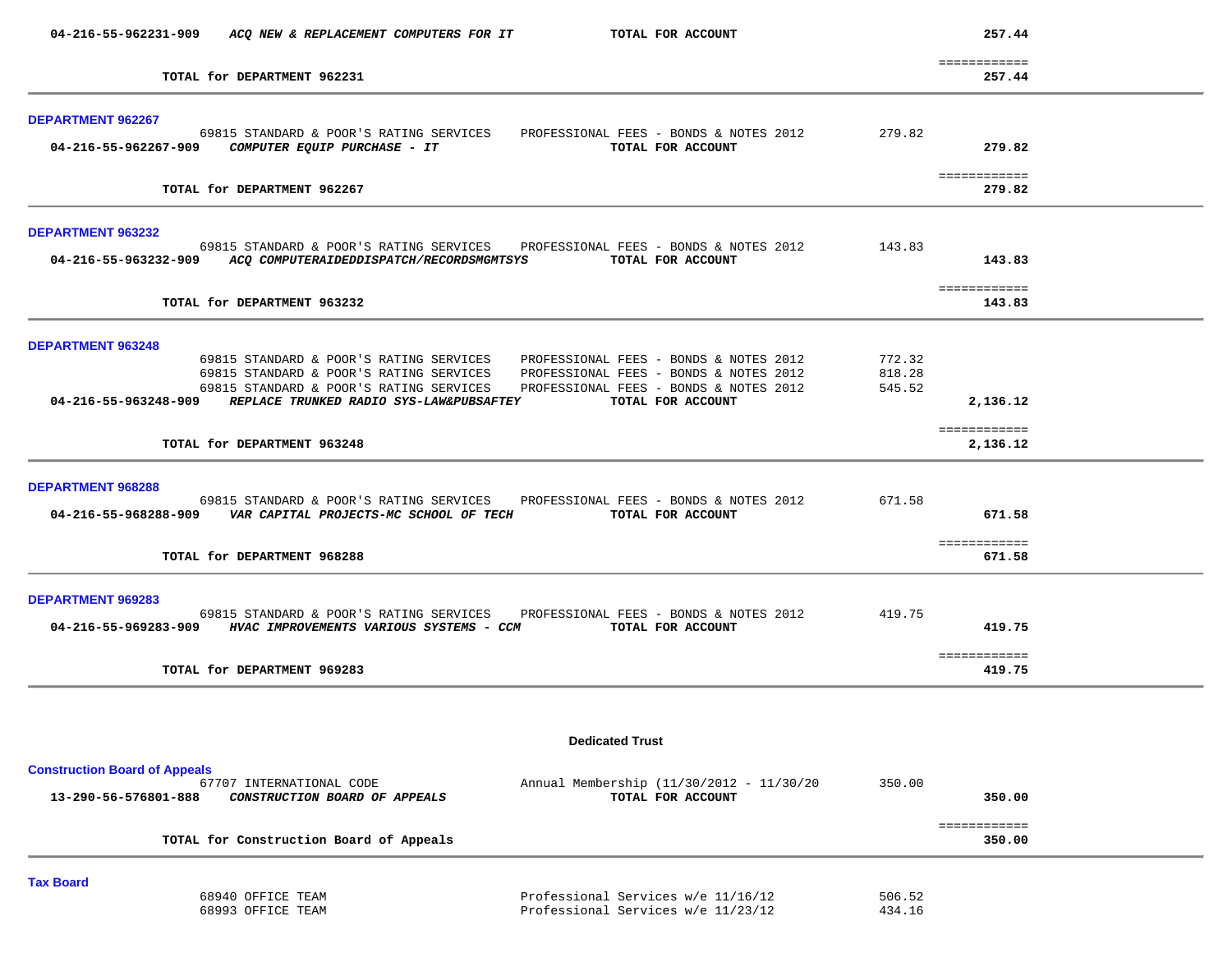| TOTAL for DEPARTMENT 962231<br><b>DEPARTMENT 962267</b><br>69815 STANDARD & POOR'S RATING SERVICES PROFESSIONAL FEES - BONDS & NOTES 2012 279.82<br>TOTAL FOR ACCOUNT<br>TOTAL for DEPARTMENT 962267<br>DEPARTMENT 963232<br>69815 STANDARD & POOR'S RATING SERVICES PROFESSIONAL FEES - BONDS & NOTES 2012 143.83<br>04-216-55-963232-909 ACQ COMPUTERAIDEDDISPATCH/RECORDSMGMTSYS TOTAL FOR ACCOUNT<br>TOTAL for DEPARTMENT 963232<br><b>DEPARTMENT 963248</b><br>69815 STANDARD & POOR'S RATING SERVICES<br>PROFESSIONAL FEES - BONDS & NOTES 2012<br>69815 STANDARD & POOR'S RATING SERVICES<br>PROFESSIONAL FEES - BONDS & NOTES 2012<br>69815 STANDARD & POOR'S RATING SERVICES<br>PROFESSIONAL FEES - BONDS & NOTES 2012<br>04-216-55-963248-909 REPLACE TRUNKED RADIO SYS-LAW&PUBSAFTEY TOTAL FOR ACCOUNT | 772.32<br>818.28<br>545.52 | ============<br>257.44<br>279.82<br>============<br>279.82<br>143.83<br>============<br>143.83 |  |
|-------------------------------------------------------------------------------------------------------------------------------------------------------------------------------------------------------------------------------------------------------------------------------------------------------------------------------------------------------------------------------------------------------------------------------------------------------------------------------------------------------------------------------------------------------------------------------------------------------------------------------------------------------------------------------------------------------------------------------------------------------------------------------------------------------------------|----------------------------|------------------------------------------------------------------------------------------------|--|
|                                                                                                                                                                                                                                                                                                                                                                                                                                                                                                                                                                                                                                                                                                                                                                                                                   |                            |                                                                                                |  |
|                                                                                                                                                                                                                                                                                                                                                                                                                                                                                                                                                                                                                                                                                                                                                                                                                   |                            |                                                                                                |  |
|                                                                                                                                                                                                                                                                                                                                                                                                                                                                                                                                                                                                                                                                                                                                                                                                                   |                            |                                                                                                |  |
|                                                                                                                                                                                                                                                                                                                                                                                                                                                                                                                                                                                                                                                                                                                                                                                                                   |                            |                                                                                                |  |
|                                                                                                                                                                                                                                                                                                                                                                                                                                                                                                                                                                                                                                                                                                                                                                                                                   |                            |                                                                                                |  |
|                                                                                                                                                                                                                                                                                                                                                                                                                                                                                                                                                                                                                                                                                                                                                                                                                   |                            | 2,136.12                                                                                       |  |
| TOTAL for DEPARTMENT 963248                                                                                                                                                                                                                                                                                                                                                                                                                                                                                                                                                                                                                                                                                                                                                                                       |                            | ============<br>2,136.12                                                                       |  |
| <b>DEPARTMENT 968288</b><br>69815 STANDARD & POOR'S RATING SERVICES PROFESSIONAL FEES - BONDS & NOTES 2012<br>TOTAL FOR ACCOUNT<br>04-216-55-968288-909    VAR CAPITAL PROJECTS-MC SCHOOL OF TECH                                                                                                                                                                                                                                                                                                                                                                                                                                                                                                                                                                                                                 | 671.58                     | 671.58<br>============                                                                         |  |
| TOTAL for DEPARTMENT 968288                                                                                                                                                                                                                                                                                                                                                                                                                                                                                                                                                                                                                                                                                                                                                                                       |                            | 671.58                                                                                         |  |
| <b>DEPARTMENT 969283</b><br>69815 STANDARD & POOR'S RATING SERVICES PROFESSIONAL FEES - BONDS & NOTES 2012 419.75<br>04-216-55-969283-909 HVAC IMPROVEMENTS VARIOUS SYSTEMS - CCM TOTAL FOR ACCOUNT<br>TOTAL for DEPARTMENT 969283                                                                                                                                                                                                                                                                                                                                                                                                                                                                                                                                                                                |                            | 419.75<br>============<br>419.75                                                               |  |
|                                                                                                                                                                                                                                                                                                                                                                                                                                                                                                                                                                                                                                                                                                                                                                                                                   |                            |                                                                                                |  |
| <b>Dedicated Trust</b>                                                                                                                                                                                                                                                                                                                                                                                                                                                                                                                                                                                                                                                                                                                                                                                            |                            |                                                                                                |  |
| <b>Construction Board of Appeals</b><br>Annual Membership (11/30/2012 - 11/30/20<br>67707 INTERNATIONAL CODE<br>13-290-56-576801-888<br>CONSTRUCTION BOARD OF APPEALS<br>TOTAL FOR ACCOUNT                                                                                                                                                                                                                                                                                                                                                                                                                                                                                                                                                                                                                        | 350.00                     | 350.00                                                                                         |  |
| TOTAL for Construction Board of Appeals                                                                                                                                                                                                                                                                                                                                                                                                                                                                                                                                                                                                                                                                                                                                                                           |                            | ============<br>350.00                                                                         |  |

| 68940 OFFICE TEAM | Professional Services w/e 11/16/12 | 506.52 |
|-------------------|------------------------------------|--------|
| 68993 OFFICE TEAM | Professional Services w/e 11/23/12 | 434.16 |